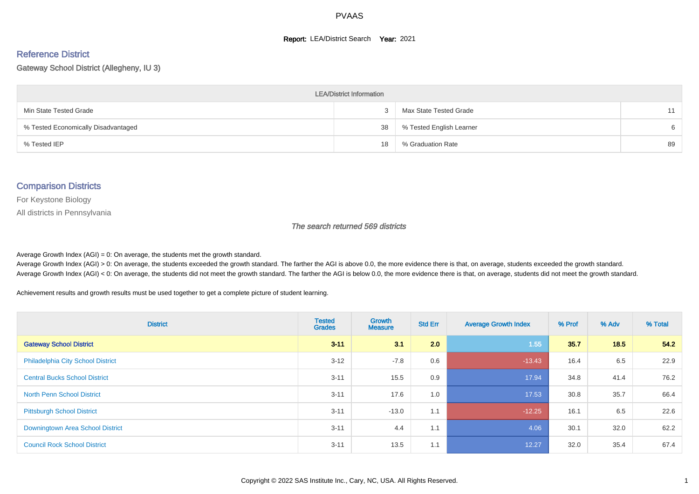#### **Report: LEA/District Search Year: 2021**

#### Reference District

#### Gateway School District (Allegheny, IU 3)

| <b>LEA/District Information</b>     |    |                          |    |  |  |  |  |  |  |  |
|-------------------------------------|----|--------------------------|----|--|--|--|--|--|--|--|
| Min State Tested Grade              | ۰C | Max State Tested Grade   |    |  |  |  |  |  |  |  |
| % Tested Economically Disadvantaged | 38 | % Tested English Learner | 6  |  |  |  |  |  |  |  |
| % Tested IEP                        | 18 | % Graduation Rate        | 89 |  |  |  |  |  |  |  |

#### Comparison Districts

For Keystone Biology

All districts in Pennsylvania

The search returned 569 districts

Average Growth Index  $(AGI) = 0$ : On average, the students met the growth standard.

Average Growth Index (AGI) > 0: On average, the students exceeded the growth standard. The farther the AGI is above 0.0, the more evidence there is that, on average, students exceeded the growth standard. Average Growth Index (AGI) < 0: On average, the students did not meet the growth standard. The farther the AGI is below 0.0, the more evidence there is that, on average, students did not meet the growth standard.

Achievement results and growth results must be used together to get a complete picture of student learning.

| <b>District</b>                          | <b>Tested</b><br><b>Grades</b> | Growth<br><b>Measure</b> | <b>Std Err</b> | <b>Average Growth Index</b> | % Prof | % Adv | % Total |
|------------------------------------------|--------------------------------|--------------------------|----------------|-----------------------------|--------|-------|---------|
| <b>Gateway School District</b>           | $3 - 11$                       | 3.1                      | 2.0            | 1.55                        | 35.7   | 18.5  | 54.2    |
| <b>Philadelphia City School District</b> | $3 - 12$                       | $-7.8$                   | 0.6            | $-13.43$                    | 16.4   | 6.5   | 22.9    |
| <b>Central Bucks School District</b>     | $3 - 11$                       | 15.5                     | 0.9            | 17.94                       | 34.8   | 41.4  | 76.2    |
| <b>North Penn School District</b>        | $3 - 11$                       | 17.6                     | 1.0            | 17.53                       | 30.8   | 35.7  | 66.4    |
| <b>Pittsburgh School District</b>        | $3 - 11$                       | $-13.0$                  | 1.1            | $-12.25$                    | 16.1   | 6.5   | 22.6    |
| Downingtown Area School District         | $3 - 11$                       | 4.4                      | 1.1            | 4.06                        | 30.1   | 32.0  | 62.2    |
| <b>Council Rock School District</b>      | $3 - 11$                       | 13.5                     | 1.1            | 12.27                       | 32.0   | 35.4  | 67.4    |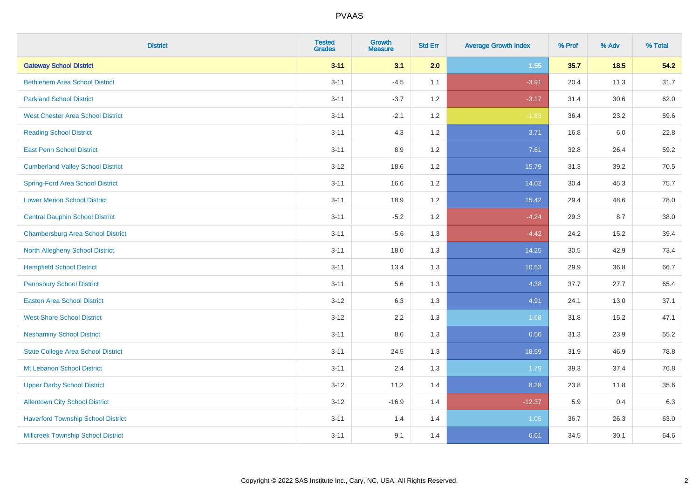| <b>District</b>                           | <b>Tested</b><br><b>Grades</b> | <b>Growth</b><br><b>Measure</b> | <b>Std Err</b> | <b>Average Growth Index</b> | % Prof | % Adv | % Total |
|-------------------------------------------|--------------------------------|---------------------------------|----------------|-----------------------------|--------|-------|---------|
| <b>Gateway School District</b>            | $3 - 11$                       | 3.1                             | 2.0            | 1.55                        | 35.7   | 18.5  | 54.2    |
| <b>Bethlehem Area School District</b>     | $3 - 11$                       | $-4.5$                          | 1.1            | $-3.91$                     | 20.4   | 11.3  | 31.7    |
| <b>Parkland School District</b>           | $3 - 11$                       | $-3.7$                          | 1.2            | $-3.17$                     | 31.4   | 30.6  | 62.0    |
| <b>West Chester Area School District</b>  | $3 - 11$                       | $-2.1$                          | 1.2            | $-1.83$                     | 36.4   | 23.2  | 59.6    |
| <b>Reading School District</b>            | $3 - 11$                       | 4.3                             | 1.2            | 3.71                        | 16.8   | 6.0   | 22.8    |
| <b>East Penn School District</b>          | $3 - 11$                       | 8.9                             | 1.2            | 7.61                        | 32.8   | 26.4  | 59.2    |
| <b>Cumberland Valley School District</b>  | $3 - 12$                       | 18.6                            | 1.2            | 15.79                       | 31.3   | 39.2  | 70.5    |
| <b>Spring-Ford Area School District</b>   | $3 - 11$                       | 16.6                            | 1.2            | 14.02                       | 30.4   | 45.3  | 75.7    |
| <b>Lower Merion School District</b>       | $3 - 11$                       | 18.9                            | 1.2            | 15.42                       | 29.4   | 48.6  | 78.0    |
| <b>Central Dauphin School District</b>    | $3 - 11$                       | $-5.2$                          | 1.2            | $-4.24$                     | 29.3   | 8.7   | 38.0    |
| <b>Chambersburg Area School District</b>  | $3 - 11$                       | $-5.6$                          | 1.3            | $-4.42$                     | 24.2   | 15.2  | 39.4    |
| <b>North Allegheny School District</b>    | $3 - 11$                       | 18.0                            | 1.3            | 14.25                       | 30.5   | 42.9  | 73.4    |
| <b>Hempfield School District</b>          | $3 - 11$                       | 13.4                            | 1.3            | 10.53                       | 29.9   | 36.8  | 66.7    |
| <b>Pennsbury School District</b>          | $3 - 11$                       | 5.6                             | 1.3            | 4.38                        | 37.7   | 27.7  | 65.4    |
| <b>Easton Area School District</b>        | $3 - 12$                       | 6.3                             | 1.3            | 4.91                        | 24.1   | 13.0  | 37.1    |
| <b>West Shore School District</b>         | $3 - 12$                       | 2.2                             | 1.3            | 1.68                        | 31.8   | 15.2  | 47.1    |
| <b>Neshaminy School District</b>          | $3 - 11$                       | 8.6                             | 1.3            | 6.56                        | 31.3   | 23.9  | 55.2    |
| <b>State College Area School District</b> | $3 - 11$                       | 24.5                            | 1.3            | 18.59                       | 31.9   | 46.9  | 78.8    |
| Mt Lebanon School District                | $3 - 11$                       | 2.4                             | 1.3            | 1.79                        | 39.3   | 37.4  | 76.8    |
| <b>Upper Darby School District</b>        | $3 - 12$                       | 11.2                            | 1.4            | 8.28                        | 23.8   | 11.8  | 35.6    |
| <b>Allentown City School District</b>     | $3 - 12$                       | $-16.9$                         | 1.4            | $-12.37$                    | 5.9    | 0.4   | 6.3     |
| <b>Haverford Township School District</b> | $3 - 11$                       | 1.4                             | 1.4            | 1.05                        | 36.7   | 26.3  | 63.0    |
| <b>Millcreek Township School District</b> | $3 - 11$                       | 9.1                             | 1.4            | 6.61                        | 34.5   | 30.1  | 64.6    |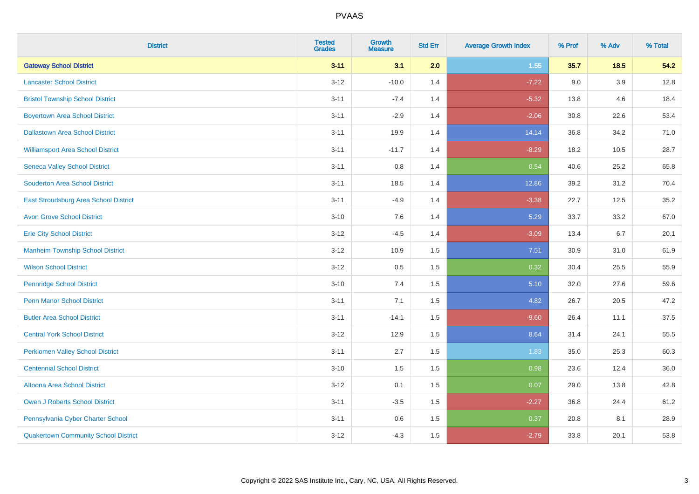| <b>District</b>                             | <b>Tested</b><br><b>Grades</b> | <b>Growth</b><br><b>Measure</b> | <b>Std Err</b> | <b>Average Growth Index</b> | % Prof | % Adv   | % Total |
|---------------------------------------------|--------------------------------|---------------------------------|----------------|-----------------------------|--------|---------|---------|
| <b>Gateway School District</b>              | $3 - 11$                       | 3.1                             | 2.0            | 1.55                        | 35.7   | $18.5$  | 54.2    |
| <b>Lancaster School District</b>            | $3 - 12$                       | $-10.0$                         | 1.4            | $-7.22$                     | 9.0    | $3.9\,$ | 12.8    |
| <b>Bristol Township School District</b>     | $3 - 11$                       | $-7.4$                          | 1.4            | $-5.32$                     | 13.8   | 4.6     | 18.4    |
| <b>Boyertown Area School District</b>       | $3 - 11$                       | $-2.9$                          | 1.4            | $-2.06$                     | 30.8   | 22.6    | 53.4    |
| <b>Dallastown Area School District</b>      | $3 - 11$                       | 19.9                            | 1.4            | 14.14                       | 36.8   | 34.2    | 71.0    |
| <b>Williamsport Area School District</b>    | $3 - 11$                       | $-11.7$                         | 1.4            | $-8.29$                     | 18.2   | 10.5    | 28.7    |
| <b>Seneca Valley School District</b>        | $3 - 11$                       | $0.8\,$                         | 1.4            | 0.54                        | 40.6   | 25.2    | 65.8    |
| <b>Souderton Area School District</b>       | $3 - 11$                       | 18.5                            | 1.4            | 12.86                       | 39.2   | 31.2    | 70.4    |
| East Stroudsburg Area School District       | $3 - 11$                       | $-4.9$                          | 1.4            | $-3.38$                     | 22.7   | 12.5    | 35.2    |
| <b>Avon Grove School District</b>           | $3 - 10$                       | 7.6                             | 1.4            | 5.29                        | 33.7   | 33.2    | 67.0    |
| <b>Erie City School District</b>            | $3-12$                         | $-4.5$                          | 1.4            | $-3.09$                     | 13.4   | 6.7     | 20.1    |
| <b>Manheim Township School District</b>     | $3 - 12$                       | 10.9                            | 1.5            | 7.51                        | 30.9   | 31.0    | 61.9    |
| <b>Wilson School District</b>               | $3 - 12$                       | $0.5\,$                         | 1.5            | 0.32                        | 30.4   | 25.5    | 55.9    |
| <b>Pennridge School District</b>            | $3 - 10$                       | 7.4                             | 1.5            | 5.10                        | 32.0   | 27.6    | 59.6    |
| <b>Penn Manor School District</b>           | $3 - 11$                       | 7.1                             | 1.5            | 4.82                        | 26.7   | 20.5    | 47.2    |
| <b>Butler Area School District</b>          | $3 - 11$                       | $-14.1$                         | 1.5            | $-9.60$                     | 26.4   | 11.1    | 37.5    |
| <b>Central York School District</b>         | $3-12$                         | 12.9                            | 1.5            | 8.64                        | 31.4   | 24.1    | 55.5    |
| <b>Perkiomen Valley School District</b>     | $3 - 11$                       | 2.7                             | 1.5            | 1.83                        | 35.0   | 25.3    | 60.3    |
| <b>Centennial School District</b>           | $3 - 10$                       | 1.5                             | 1.5            | 0.98                        | 23.6   | 12.4    | 36.0    |
| <b>Altoona Area School District</b>         | $3 - 12$                       | 0.1                             | 1.5            | 0.07                        | 29.0   | 13.8    | 42.8    |
| Owen J Roberts School District              | $3 - 11$                       | $-3.5$                          | 1.5            | $-2.27$                     | 36.8   | 24.4    | 61.2    |
| Pennsylvania Cyber Charter School           | $3 - 11$                       | 0.6                             | 1.5            | 0.37                        | 20.8   | 8.1     | 28.9    |
| <b>Quakertown Community School District</b> | $3 - 12$                       | $-4.3$                          | 1.5            | $-2.79$                     | 33.8   | 20.1    | 53.8    |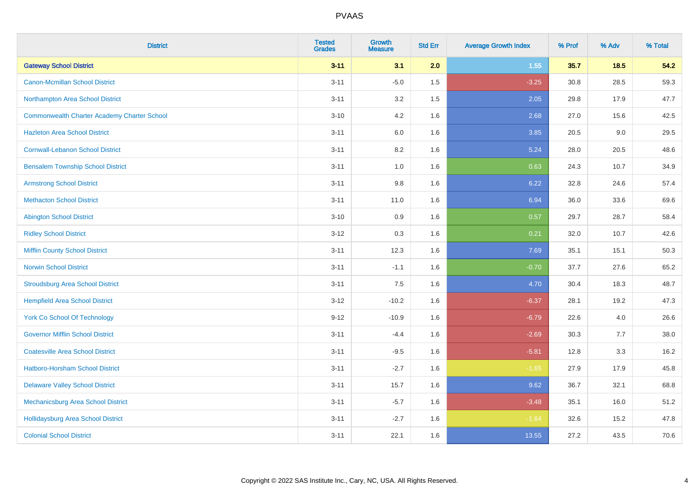| <b>District</b>                                    | <b>Tested</b><br><b>Grades</b> | <b>Growth</b><br><b>Measure</b> | <b>Std Err</b> | <b>Average Growth Index</b> | % Prof | % Adv | % Total |
|----------------------------------------------------|--------------------------------|---------------------------------|----------------|-----------------------------|--------|-------|---------|
| <b>Gateway School District</b>                     | $3 - 11$                       | 3.1                             | 2.0            | 1.55                        | 35.7   | 18.5  | 54.2    |
| <b>Canon-Mcmillan School District</b>              | $3 - 11$                       | $-5.0$                          | 1.5            | $-3.25$                     | 30.8   | 28.5  | 59.3    |
| Northampton Area School District                   | $3 - 11$                       | 3.2                             | 1.5            | 2.05                        | 29.8   | 17.9  | 47.7    |
| <b>Commonwealth Charter Academy Charter School</b> | $3 - 10$                       | 4.2                             | 1.6            | 2.68                        | 27.0   | 15.6  | 42.5    |
| <b>Hazleton Area School District</b>               | $3 - 11$                       | 6.0                             | 1.6            | 3.85                        | 20.5   | 9.0   | 29.5    |
| <b>Cornwall-Lebanon School District</b>            | $3 - 11$                       | 8.2                             | 1.6            | 5.24                        | 28.0   | 20.5  | 48.6    |
| <b>Bensalem Township School District</b>           | $3 - 11$                       | 1.0                             | 1.6            | 0.63                        | 24.3   | 10.7  | 34.9    |
| <b>Armstrong School District</b>                   | $3 - 11$                       | $9.8\,$                         | 1.6            | 6.22                        | 32.8   | 24.6  | 57.4    |
| <b>Methacton School District</b>                   | $3 - 11$                       | 11.0                            | 1.6            | 6.94                        | 36.0   | 33.6  | 69.6    |
| <b>Abington School District</b>                    | $3 - 10$                       | 0.9                             | 1.6            | 0.57                        | 29.7   | 28.7  | 58.4    |
| <b>Ridley School District</b>                      | $3 - 12$                       | 0.3                             | 1.6            | 0.21                        | 32.0   | 10.7  | 42.6    |
| <b>Mifflin County School District</b>              | $3 - 11$                       | 12.3                            | 1.6            | 7.69                        | 35.1   | 15.1  | 50.3    |
| <b>Norwin School District</b>                      | $3 - 11$                       | $-1.1$                          | 1.6            | $-0.70$                     | 37.7   | 27.6  | 65.2    |
| <b>Stroudsburg Area School District</b>            | $3 - 11$                       | 7.5                             | 1.6            | 4.70                        | 30.4   | 18.3  | 48.7    |
| <b>Hempfield Area School District</b>              | $3 - 12$                       | $-10.2$                         | 1.6            | $-6.37$                     | 28.1   | 19.2  | 47.3    |
| <b>York Co School Of Technology</b>                | $9 - 12$                       | $-10.9$                         | 1.6            | $-6.79$                     | 22.6   | 4.0   | 26.6    |
| <b>Governor Mifflin School District</b>            | $3 - 11$                       | $-4.4$                          | 1.6            | $-2.69$                     | 30.3   | 7.7   | 38.0    |
| <b>Coatesville Area School District</b>            | $3 - 11$                       | $-9.5$                          | 1.6            | $-5.81$                     | 12.8   | 3.3   | 16.2    |
| <b>Hatboro-Horsham School District</b>             | $3 - 11$                       | $-2.7$                          | 1.6            | $-1.65$                     | 27.9   | 17.9  | 45.8    |
| <b>Delaware Valley School District</b>             | $3 - 11$                       | 15.7                            | 1.6            | 9.62                        | 36.7   | 32.1  | 68.8    |
| Mechanicsburg Area School District                 | $3 - 11$                       | $-5.7$                          | 1.6            | $-3.48$                     | 35.1   | 16.0  | 51.2    |
| Hollidaysburg Area School District                 | $3 - 11$                       | $-2.7$                          | 1.6            | $-1.64$                     | 32.6   | 15.2  | 47.8    |
| <b>Colonial School District</b>                    | $3 - 11$                       | 22.1                            | 1.6            | 13.55                       | 27.2   | 43.5  | 70.6    |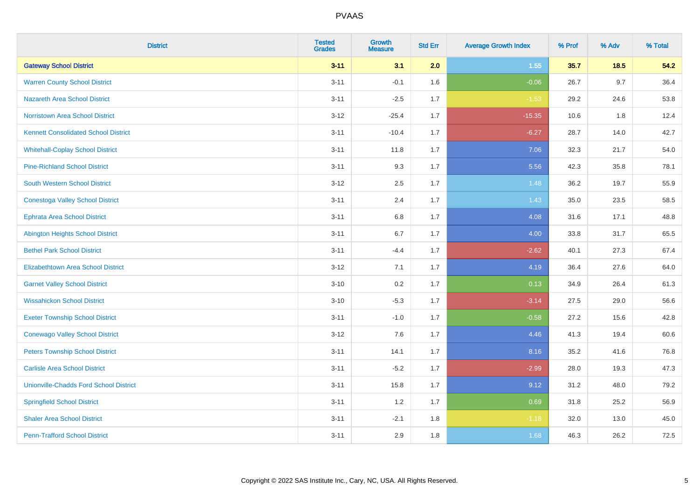| <b>District</b>                               | <b>Tested</b><br><b>Grades</b> | <b>Growth</b><br><b>Measure</b> | <b>Std Err</b> | <b>Average Growth Index</b> | % Prof | % Adv  | % Total |
|-----------------------------------------------|--------------------------------|---------------------------------|----------------|-----------------------------|--------|--------|---------|
| <b>Gateway School District</b>                | $3 - 11$                       | 3.1                             | 2.0            | 1.55                        | 35.7   | $18.5$ | 54.2    |
| <b>Warren County School District</b>          | $3 - 11$                       | $-0.1$                          | 1.6            | $-0.06$                     | 26.7   | 9.7    | 36.4    |
| <b>Nazareth Area School District</b>          | $3 - 11$                       | $-2.5$                          | 1.7            | $-1.53$                     | 29.2   | 24.6   | 53.8    |
| <b>Norristown Area School District</b>        | $3 - 12$                       | $-25.4$                         | 1.7            | $-15.35$                    | 10.6   | 1.8    | 12.4    |
| <b>Kennett Consolidated School District</b>   | $3 - 11$                       | $-10.4$                         | 1.7            | $-6.27$                     | 28.7   | 14.0   | 42.7    |
| <b>Whitehall-Coplay School District</b>       | $3 - 11$                       | 11.8                            | 1.7            | 7.06                        | 32.3   | 21.7   | 54.0    |
| <b>Pine-Richland School District</b>          | $3 - 11$                       | 9.3                             | 1.7            | 5.56                        | 42.3   | 35.8   | 78.1    |
| <b>South Western School District</b>          | $3 - 12$                       | 2.5                             | 1.7            | 1.48                        | 36.2   | 19.7   | 55.9    |
| <b>Conestoga Valley School District</b>       | $3 - 11$                       | 2.4                             | 1.7            | 1.43                        | 35.0   | 23.5   | 58.5    |
| Ephrata Area School District                  | $3 - 11$                       | 6.8                             | 1.7            | 4.08                        | 31.6   | 17.1   | 48.8    |
| <b>Abington Heights School District</b>       | $3 - 11$                       | 6.7                             | 1.7            | 4.00                        | 33.8   | 31.7   | 65.5    |
| <b>Bethel Park School District</b>            | $3 - 11$                       | $-4.4$                          | 1.7            | $-2.62$                     | 40.1   | 27.3   | 67.4    |
| Elizabethtown Area School District            | $3 - 12$                       | 7.1                             | 1.7            | 4.19                        | 36.4   | 27.6   | 64.0    |
| <b>Garnet Valley School District</b>          | $3 - 10$                       | 0.2                             | 1.7            | 0.13                        | 34.9   | 26.4   | 61.3    |
| <b>Wissahickon School District</b>            | $3 - 10$                       | $-5.3$                          | 1.7            | $-3.14$                     | 27.5   | 29.0   | 56.6    |
| <b>Exeter Township School District</b>        | $3 - 11$                       | $-1.0$                          | 1.7            | $-0.58$                     | 27.2   | 15.6   | 42.8    |
| <b>Conewago Valley School District</b>        | $3-12$                         | 7.6                             | 1.7            | 4.46                        | 41.3   | 19.4   | 60.6    |
| <b>Peters Township School District</b>        | $3 - 11$                       | 14.1                            | 1.7            | 8.16                        | 35.2   | 41.6   | 76.8    |
| <b>Carlisle Area School District</b>          | $3 - 11$                       | $-5.2$                          | 1.7            | $-2.99$                     | 28.0   | 19.3   | 47.3    |
| <b>Unionville-Chadds Ford School District</b> | $3 - 11$                       | 15.8                            | 1.7            | 9.12                        | 31.2   | 48.0   | 79.2    |
| <b>Springfield School District</b>            | $3 - 11$                       | 1.2                             | 1.7            | 0.69                        | 31.8   | 25.2   | 56.9    |
| <b>Shaler Area School District</b>            | $3 - 11$                       | $-2.1$                          | 1.8            | $-1.18$                     | 32.0   | 13.0   | 45.0    |
| <b>Penn-Trafford School District</b>          | $3 - 11$                       | 2.9                             | 1.8            | 1.68                        | 46.3   | 26.2   | 72.5    |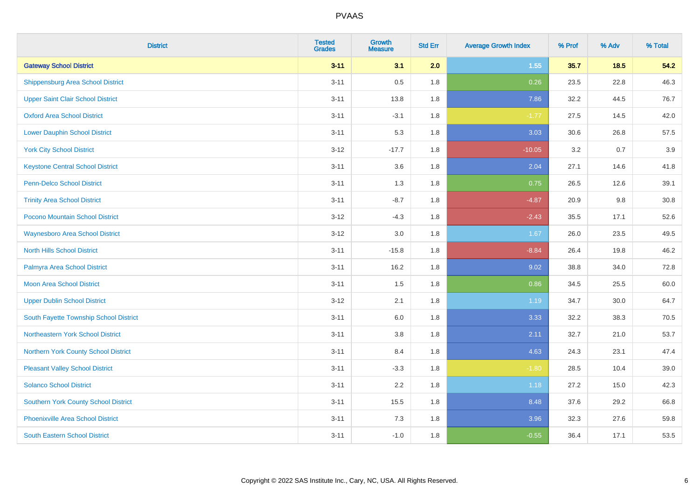| <b>District</b>                             | <b>Tested</b><br><b>Grades</b> | <b>Growth</b><br><b>Measure</b> | <b>Std Err</b> | <b>Average Growth Index</b> | % Prof | % Adv | % Total |
|---------------------------------------------|--------------------------------|---------------------------------|----------------|-----------------------------|--------|-------|---------|
| <b>Gateway School District</b>              | $3 - 11$                       | 3.1                             | 2.0            | 1.55                        | 35.7   | 18.5  | 54.2    |
| <b>Shippensburg Area School District</b>    | $3 - 11$                       | 0.5                             | 1.8            | 0.26                        | 23.5   | 22.8  | 46.3    |
| <b>Upper Saint Clair School District</b>    | $3 - 11$                       | 13.8                            | 1.8            | 7.86                        | 32.2   | 44.5  | 76.7    |
| <b>Oxford Area School District</b>          | $3 - 11$                       | $-3.1$                          | 1.8            | $-1.77$                     | 27.5   | 14.5  | 42.0    |
| <b>Lower Dauphin School District</b>        | $3 - 11$                       | 5.3                             | 1.8            | 3.03                        | 30.6   | 26.8  | 57.5    |
| <b>York City School District</b>            | $3 - 12$                       | $-17.7$                         | 1.8            | $-10.05$                    | 3.2    | 0.7   | 3.9     |
| <b>Keystone Central School District</b>     | $3 - 11$                       | 3.6                             | 1.8            | 2.04                        | 27.1   | 14.6  | 41.8    |
| <b>Penn-Delco School District</b>           | $3 - 11$                       | 1.3                             | 1.8            | 0.75                        | 26.5   | 12.6  | 39.1    |
| <b>Trinity Area School District</b>         | $3 - 11$                       | $-8.7$                          | 1.8            | $-4.87$                     | 20.9   | 9.8   | 30.8    |
| <b>Pocono Mountain School District</b>      | $3 - 12$                       | $-4.3$                          | 1.8            | $-2.43$                     | 35.5   | 17.1  | 52.6    |
| <b>Waynesboro Area School District</b>      | $3 - 12$                       | 3.0                             | 1.8            | 1.67                        | 26.0   | 23.5  | 49.5    |
| <b>North Hills School District</b>          | $3 - 11$                       | $-15.8$                         | 1.8            | $-8.84$                     | 26.4   | 19.8  | 46.2    |
| Palmyra Area School District                | $3 - 11$                       | 16.2                            | 1.8            | 9.02                        | 38.8   | 34.0  | 72.8    |
| <b>Moon Area School District</b>            | $3 - 11$                       | 1.5                             | 1.8            | 0.86                        | 34.5   | 25.5  | 60.0    |
| <b>Upper Dublin School District</b>         | $3 - 12$                       | 2.1                             | 1.8            | 1.19                        | 34.7   | 30.0  | 64.7    |
| South Fayette Township School District      | $3 - 11$                       | $6.0\,$                         | 1.8            | 3.33                        | 32.2   | 38.3  | 70.5    |
| Northeastern York School District           | $3 - 11$                       | 3.8                             | 1.8            | 2.11                        | 32.7   | 21.0  | 53.7    |
| Northern York County School District        | $3 - 11$                       | 8.4                             | 1.8            | 4.63                        | 24.3   | 23.1  | 47.4    |
| <b>Pleasant Valley School District</b>      | $3 - 11$                       | $-3.3$                          | 1.8            | $-1.80$                     | 28.5   | 10.4  | 39.0    |
| <b>Solanco School District</b>              | $3 - 11$                       | 2.2                             | 1.8            | 1.18                        | 27.2   | 15.0  | 42.3    |
| <b>Southern York County School District</b> | $3 - 11$                       | 15.5                            | 1.8            | 8.48                        | 37.6   | 29.2  | 66.8    |
| <b>Phoenixville Area School District</b>    | $3 - 11$                       | 7.3                             | 1.8            | 3.96                        | 32.3   | 27.6  | 59.8    |
| <b>South Eastern School District</b>        | $3 - 11$                       | $-1.0$                          | 1.8            | $-0.55$                     | 36.4   | 17.1  | 53.5    |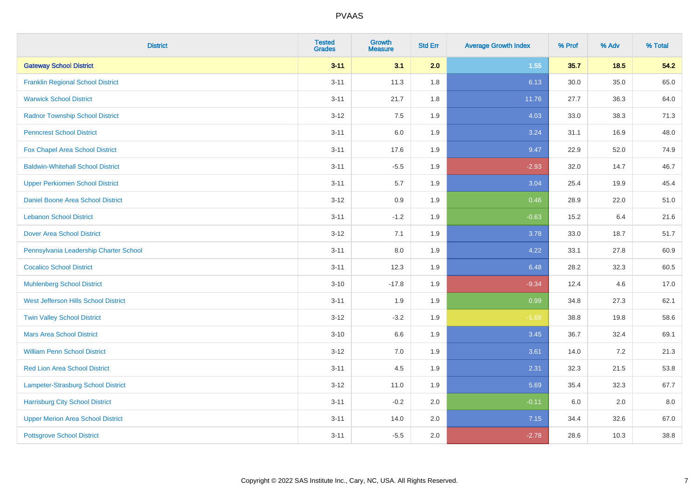| <b>District</b>                          | <b>Tested</b><br><b>Grades</b> | Growth<br><b>Measure</b> | <b>Std Err</b> | <b>Average Growth Index</b> | % Prof | % Adv  | % Total |
|------------------------------------------|--------------------------------|--------------------------|----------------|-----------------------------|--------|--------|---------|
| <b>Gateway School District</b>           | $3 - 11$                       | 3.1                      | 2.0            | 1.55                        | 35.7   | $18.5$ | 54.2    |
| <b>Franklin Regional School District</b> | $3 - 11$                       | 11.3                     | 1.8            | 6.13                        | 30.0   | 35.0   | 65.0    |
| <b>Warwick School District</b>           | $3 - 11$                       | 21.7                     | 1.8            | 11.76                       | 27.7   | 36.3   | 64.0    |
| <b>Radnor Township School District</b>   | $3 - 12$                       | 7.5                      | 1.9            | 4.03                        | 33.0   | 38.3   | 71.3    |
| <b>Penncrest School District</b>         | $3 - 11$                       | 6.0                      | 1.9            | 3.24                        | 31.1   | 16.9   | 48.0    |
| Fox Chapel Area School District          | $3 - 11$                       | 17.6                     | 1.9            | 9.47                        | 22.9   | 52.0   | 74.9    |
| <b>Baldwin-Whitehall School District</b> | $3 - 11$                       | $-5.5$                   | 1.9            | $-2.93$                     | 32.0   | 14.7   | 46.7    |
| <b>Upper Perkiomen School District</b>   | $3 - 11$                       | 5.7                      | 1.9            | 3.04                        | 25.4   | 19.9   | 45.4    |
| <b>Daniel Boone Area School District</b> | $3 - 12$                       | 0.9                      | 1.9            | 0.46                        | 28.9   | 22.0   | 51.0    |
| <b>Lebanon School District</b>           | $3 - 11$                       | $-1.2$                   | 1.9            | $-0.63$                     | 15.2   | 6.4    | 21.6    |
| <b>Dover Area School District</b>        | $3-12$                         | 7.1                      | 1.9            | 3.78                        | 33.0   | 18.7   | 51.7    |
| Pennsylvania Leadership Charter School   | $3 - 11$                       | 8.0                      | 1.9            | 4.22                        | 33.1   | 27.8   | 60.9    |
| <b>Cocalico School District</b>          | $3 - 11$                       | 12.3                     | 1.9            | 6.48                        | 28.2   | 32.3   | 60.5    |
| <b>Muhlenberg School District</b>        | $3 - 10$                       | $-17.8$                  | 1.9            | $-9.34$                     | 12.4   | 4.6    | 17.0    |
| West Jefferson Hills School District     | $3 - 11$                       | 1.9                      | 1.9            | 0.99                        | 34.8   | 27.3   | 62.1    |
| <b>Twin Valley School District</b>       | $3-12$                         | $-3.2$                   | 1.9            | $-1.68$                     | 38.8   | 19.8   | 58.6    |
| <b>Mars Area School District</b>         | $3 - 10$                       | 6.6                      | 1.9            | 3.45                        | 36.7   | 32.4   | 69.1    |
| <b>William Penn School District</b>      | $3-12$                         | 7.0                      | 1.9            | 3.61                        | 14.0   | 7.2    | 21.3    |
| <b>Red Lion Area School District</b>     | $3 - 11$                       | 4.5                      | 1.9            | 2.31                        | 32.3   | 21.5   | 53.8    |
| Lampeter-Strasburg School District       | $3 - 12$                       | 11.0                     | 1.9            | 5.69                        | 35.4   | 32.3   | 67.7    |
| <b>Harrisburg City School District</b>   | $3 - 11$                       | $-0.2$                   | 2.0            | $-0.11$                     | 6.0    | 2.0    | 8.0     |
| <b>Upper Merion Area School District</b> | $3 - 11$                       | 14.0                     | 2.0            | 7.15                        | 34.4   | 32.6   | 67.0    |
| <b>Pottsgrove School District</b>        | $3 - 11$                       | $-5.5$                   | 2.0            | $-2.78$                     | 28.6   | 10.3   | 38.8    |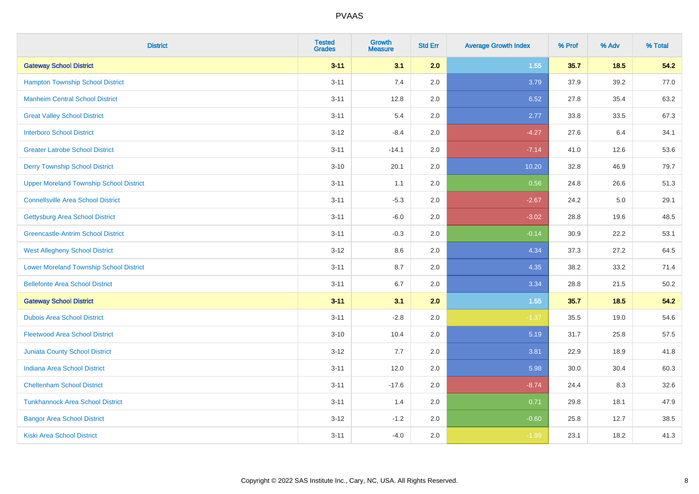| <b>District</b>                                | <b>Tested</b><br><b>Grades</b> | <b>Growth</b><br><b>Measure</b> | <b>Std Err</b> | <b>Average Growth Index</b> | % Prof | % Adv  | % Total |
|------------------------------------------------|--------------------------------|---------------------------------|----------------|-----------------------------|--------|--------|---------|
| <b>Gateway School District</b>                 | $3 - 11$                       | 3.1                             | 2.0            | 1.55                        | 35.7   | $18.5$ | 54.2    |
| <b>Hampton Township School District</b>        | $3 - 11$                       | 7.4                             | 2.0            | 3.79                        | 37.9   | 39.2   | 77.0    |
| <b>Manheim Central School District</b>         | $3 - 11$                       | 12.8                            | 2.0            | 6.52                        | 27.8   | 35.4   | 63.2    |
| <b>Great Valley School District</b>            | $3 - 11$                       | 5.4                             | 2.0            | 2.77                        | 33.8   | 33.5   | 67.3    |
| <b>Interboro School District</b>               | $3-12$                         | $-8.4$                          | 2.0            | $-4.27$                     | 27.6   | 6.4    | 34.1    |
| <b>Greater Latrobe School District</b>         | $3 - 11$                       | $-14.1$                         | 2.0            | $-7.14$                     | 41.0   | 12.6   | 53.6    |
| <b>Derry Township School District</b>          | $3 - 10$                       | 20.1                            | 2.0            | 10.20                       | 32.8   | 46.9   | 79.7    |
| <b>Upper Moreland Township School District</b> | $3 - 11$                       | 1.1                             | 2.0            | 0.56                        | 24.8   | 26.6   | 51.3    |
| <b>Connellsville Area School District</b>      | $3 - 11$                       | $-5.3$                          | 2.0            | $-2.67$                     | 24.2   | 5.0    | 29.1    |
| <b>Gettysburg Area School District</b>         | $3 - 11$                       | $-6.0$                          | 2.0            | $-3.02$                     | 28.8   | 19.6   | 48.5    |
| <b>Greencastle-Antrim School District</b>      | $3 - 11$                       | $-0.3$                          | 2.0            | $-0.14$                     | 30.9   | 22.2   | 53.1    |
| <b>West Allegheny School District</b>          | $3 - 12$                       | 8.6                             | 2.0            | 4.34                        | 37.3   | 27.2   | 64.5    |
| <b>Lower Moreland Township School District</b> | $3 - 11$                       | 8.7                             | 2.0            | 4.35                        | 38.2   | 33.2   | 71.4    |
| <b>Bellefonte Area School District</b>         | $3 - 11$                       | 6.7                             | 2.0            | 3.34                        | 28.8   | 21.5   | 50.2    |
| <b>Gateway School District</b>                 | $3 - 11$                       | 3.1                             | 2.0            | 1.55                        | 35.7   | 18.5   | 54.2    |
| <b>Dubois Area School District</b>             | $3 - 11$                       | $-2.8$                          | 2.0            | $-1.37$                     | 35.5   | 19.0   | 54.6    |
| <b>Fleetwood Area School District</b>          | $3 - 10$                       | 10.4                            | 2.0            | 5.19                        | 31.7   | 25.8   | 57.5    |
| Juniata County School District                 | $3 - 12$                       | 7.7                             | 2.0            | 3.81                        | 22.9   | 18.9   | 41.8    |
| <b>Indiana Area School District</b>            | $3 - 11$                       | 12.0                            | 2.0            | 5.98                        | 30.0   | 30.4   | 60.3    |
| <b>Cheltenham School District</b>              | $3 - 11$                       | $-17.6$                         | 2.0            | $-8.74$                     | 24.4   | 8.3    | 32.6    |
| <b>Tunkhannock Area School District</b>        | $3 - 11$                       | 1.4                             | 2.0            | 0.71                        | 29.8   | 18.1   | 47.9    |
| <b>Bangor Area School District</b>             | $3 - 12$                       | $-1.2$                          | 2.0            | $-0.60$                     | 25.8   | 12.7   | 38.5    |
| <b>Kiski Area School District</b>              | $3 - 11$                       | $-4.0$                          | 2.0            | $-1.99$                     | 23.1   | 18.2   | 41.3    |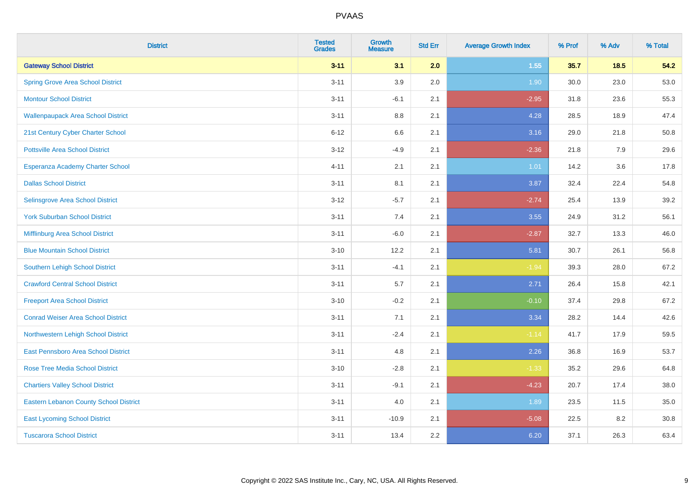| <b>District</b>                               | <b>Tested</b><br><b>Grades</b> | <b>Growth</b><br><b>Measure</b> | <b>Std Err</b> | <b>Average Growth Index</b> | % Prof | % Adv  | % Total |
|-----------------------------------------------|--------------------------------|---------------------------------|----------------|-----------------------------|--------|--------|---------|
| <b>Gateway School District</b>                | $3 - 11$                       | 3.1                             | 2.0            | 1.55                        | 35.7   | $18.5$ | 54.2    |
| <b>Spring Grove Area School District</b>      | $3 - 11$                       | 3.9                             | 2.0            | 1.90                        | 30.0   | 23.0   | 53.0    |
| <b>Montour School District</b>                | $3 - 11$                       | $-6.1$                          | 2.1            | $-2.95$                     | 31.8   | 23.6   | 55.3    |
| <b>Wallenpaupack Area School District</b>     | $3 - 11$                       | $8.8\,$                         | 2.1            | 4.28                        | 28.5   | 18.9   | 47.4    |
| 21st Century Cyber Charter School             | $6 - 12$                       | 6.6                             | 2.1            | 3.16                        | 29.0   | 21.8   | 50.8    |
| <b>Pottsville Area School District</b>        | $3 - 12$                       | $-4.9$                          | 2.1            | $-2.36$                     | 21.8   | 7.9    | 29.6    |
| Esperanza Academy Charter School              | $4 - 11$                       | 2.1                             | 2.1            | $1.01$                      | 14.2   | 3.6    | 17.8    |
| <b>Dallas School District</b>                 | $3 - 11$                       | 8.1                             | 2.1            | 3.87                        | 32.4   | 22.4   | 54.8    |
| Selinsgrove Area School District              | $3 - 12$                       | $-5.7$                          | 2.1            | $-2.74$                     | 25.4   | 13.9   | 39.2    |
| <b>York Suburban School District</b>          | $3 - 11$                       | 7.4                             | 2.1            | 3.55                        | 24.9   | 31.2   | 56.1    |
| Mifflinburg Area School District              | $3 - 11$                       | $-6.0$                          | 2.1            | $-2.87$                     | 32.7   | 13.3   | 46.0    |
| <b>Blue Mountain School District</b>          | $3 - 10$                       | 12.2                            | 2.1            | 5.81                        | 30.7   | 26.1   | 56.8    |
| Southern Lehigh School District               | $3 - 11$                       | $-4.1$                          | 2.1            | $-1.94$                     | 39.3   | 28.0   | 67.2    |
| <b>Crawford Central School District</b>       | $3 - 11$                       | 5.7                             | 2.1            | 2.71                        | 26.4   | 15.8   | 42.1    |
| <b>Freeport Area School District</b>          | $3 - 10$                       | $-0.2$                          | 2.1            | $-0.10$                     | 37.4   | 29.8   | 67.2    |
| <b>Conrad Weiser Area School District</b>     | $3 - 11$                       | 7.1                             | 2.1            | 3.34                        | 28.2   | 14.4   | 42.6    |
| Northwestern Lehigh School District           | $3 - 11$                       | $-2.4$                          | 2.1            | $-1.14$                     | 41.7   | 17.9   | 59.5    |
| East Pennsboro Area School District           | $3 - 11$                       | 4.8                             | 2.1            | 2.26                        | 36.8   | 16.9   | 53.7    |
| <b>Rose Tree Media School District</b>        | $3 - 10$                       | $-2.8$                          | 2.1            | $-1.33$                     | 35.2   | 29.6   | 64.8    |
| <b>Chartiers Valley School District</b>       | $3 - 11$                       | $-9.1$                          | 2.1            | $-4.23$                     | 20.7   | 17.4   | 38.0    |
| <b>Eastern Lebanon County School District</b> | $3 - 11$                       | 4.0                             | 2.1            | 1.89                        | 23.5   | 11.5   | 35.0    |
| <b>East Lycoming School District</b>          | $3 - 11$                       | $-10.9$                         | 2.1            | $-5.08$                     | 22.5   | 8.2    | 30.8    |
| <b>Tuscarora School District</b>              | $3 - 11$                       | 13.4                            | 2.2            | 6.20                        | 37.1   | 26.3   | 63.4    |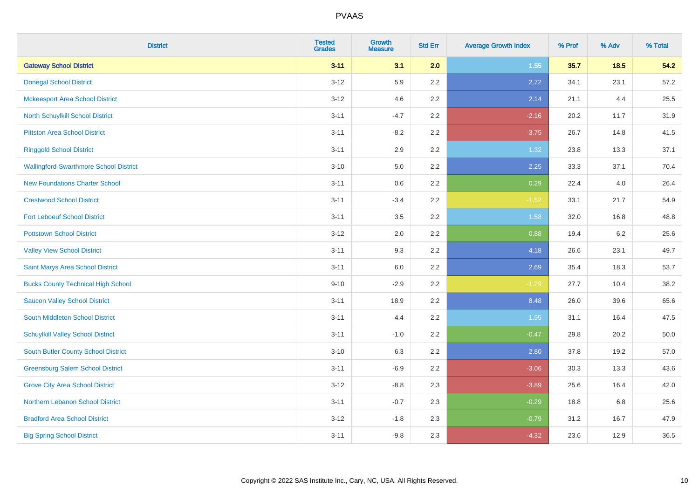| <b>District</b>                               | <b>Tested</b><br><b>Grades</b> | <b>Growth</b><br><b>Measure</b> | <b>Std Err</b> | <b>Average Growth Index</b> | % Prof | % Adv | % Total |
|-----------------------------------------------|--------------------------------|---------------------------------|----------------|-----------------------------|--------|-------|---------|
| <b>Gateway School District</b>                | $3 - 11$                       | 3.1                             | 2.0            | 1.55                        | 35.7   | 18.5  | 54.2    |
| <b>Donegal School District</b>                | $3 - 12$                       | 5.9                             | 2.2            | 2.72                        | 34.1   | 23.1  | 57.2    |
| <b>Mckeesport Area School District</b>        | $3 - 12$                       | 4.6                             | 2.2            | 2.14                        | 21.1   | 4.4   | 25.5    |
| North Schuylkill School District              | $3 - 11$                       | $-4.7$                          | 2.2            | $-2.16$                     | 20.2   | 11.7  | 31.9    |
| <b>Pittston Area School District</b>          | $3 - 11$                       | $-8.2$                          | 2.2            | $-3.75$                     | 26.7   | 14.8  | 41.5    |
| <b>Ringgold School District</b>               | $3 - 11$                       | 2.9                             | 2.2            | 1.32                        | 23.8   | 13.3  | 37.1    |
| <b>Wallingford-Swarthmore School District</b> | $3 - 10$                       | 5.0                             | 2.2            | 2.25                        | 33.3   | 37.1  | 70.4    |
| <b>New Foundations Charter School</b>         | $3 - 11$                       | 0.6                             | 2.2            | 0.29                        | 22.4   | 4.0   | 26.4    |
| <b>Crestwood School District</b>              | $3 - 11$                       | $-3.4$                          | 2.2            | $-1.52$                     | 33.1   | 21.7  | 54.9    |
| <b>Fort Leboeuf School District</b>           | $3 - 11$                       | 3.5                             | 2.2            | 1.58                        | 32.0   | 16.8  | 48.8    |
| <b>Pottstown School District</b>              | $3 - 12$                       | 2.0                             | 2.2            | 0.88                        | 19.4   | 6.2   | 25.6    |
| <b>Valley View School District</b>            | $3 - 11$                       | 9.3                             | 2.2            | 4.18                        | 26.6   | 23.1  | 49.7    |
| Saint Marys Area School District              | $3 - 11$                       | $6.0\,$                         | 2.2            | 2.69                        | 35.4   | 18.3  | 53.7    |
| <b>Bucks County Technical High School</b>     | $9 - 10$                       | $-2.9$                          | 2.2            | $-1.29$                     | 27.7   | 10.4  | 38.2    |
| <b>Saucon Valley School District</b>          | $3 - 11$                       | 18.9                            | 2.2            | 8.48                        | 26.0   | 39.6  | 65.6    |
| South Middleton School District               | $3 - 11$                       | 4.4                             | 2.2            | 1.95                        | 31.1   | 16.4  | 47.5    |
| <b>Schuylkill Valley School District</b>      | $3 - 11$                       | $-1.0$                          | 2.2            | $-0.47$                     | 29.8   | 20.2  | 50.0    |
| South Butler County School District           | $3 - 10$                       | 6.3                             | 2.2            | 2.80                        | 37.8   | 19.2  | 57.0    |
| <b>Greensburg Salem School District</b>       | $3 - 11$                       | $-6.9$                          | 2.2            | $-3.06$                     | 30.3   | 13.3  | 43.6    |
| <b>Grove City Area School District</b>        | $3 - 12$                       | $-8.8$                          | 2.3            | $-3.89$                     | 25.6   | 16.4  | 42.0    |
| Northern Lebanon School District              | $3 - 11$                       | $-0.7$                          | 2.3            | $-0.29$                     | 18.8   | 6.8   | 25.6    |
| <b>Bradford Area School District</b>          | $3-12$                         | $-1.8$                          | 2.3            | $-0.79$                     | 31.2   | 16.7  | 47.9    |
| <b>Big Spring School District</b>             | $3 - 11$                       | $-9.8$                          | 2.3            | $-4.32$                     | 23.6   | 12.9  | 36.5    |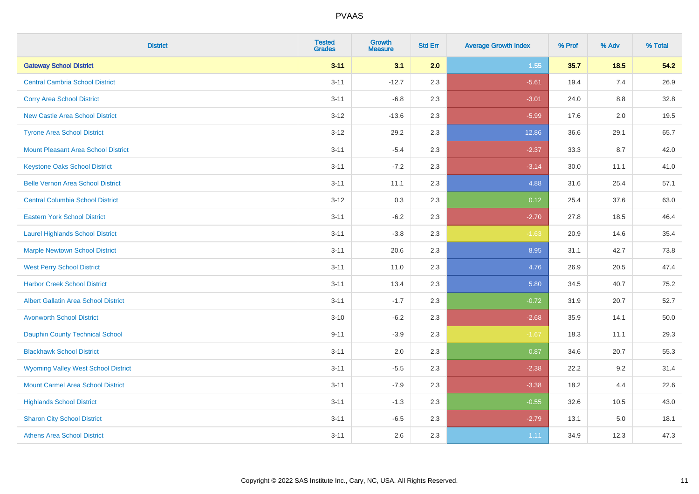| <b>District</b>                             | <b>Tested</b><br><b>Grades</b> | <b>Growth</b><br><b>Measure</b> | <b>Std Err</b> | <b>Average Growth Index</b> | % Prof | % Adv   | % Total |
|---------------------------------------------|--------------------------------|---------------------------------|----------------|-----------------------------|--------|---------|---------|
| <b>Gateway School District</b>              | $3 - 11$                       | 3.1                             | 2.0            | 1.55                        | 35.7   | 18.5    | 54.2    |
| <b>Central Cambria School District</b>      | $3 - 11$                       | $-12.7$                         | 2.3            | $-5.61$                     | 19.4   | 7.4     | 26.9    |
| <b>Corry Area School District</b>           | $3 - 11$                       | $-6.8$                          | 2.3            | $-3.01$                     | 24.0   | 8.8     | 32.8    |
| <b>New Castle Area School District</b>      | $3 - 12$                       | $-13.6$                         | 2.3            | $-5.99$                     | 17.6   | 2.0     | 19.5    |
| <b>Tyrone Area School District</b>          | $3-12$                         | 29.2                            | 2.3            | 12.86                       | 36.6   | 29.1    | 65.7    |
| <b>Mount Pleasant Area School District</b>  | $3 - 11$                       | $-5.4$                          | 2.3            | $-2.37$                     | 33.3   | 8.7     | 42.0    |
| <b>Keystone Oaks School District</b>        | $3 - 11$                       | $-7.2$                          | 2.3            | $-3.14$                     | 30.0   | 11.1    | 41.0    |
| <b>Belle Vernon Area School District</b>    | $3 - 11$                       | 11.1                            | 2.3            | 4.88                        | 31.6   | 25.4    | 57.1    |
| <b>Central Columbia School District</b>     | $3-12$                         | 0.3                             | 2.3            | 0.12                        | 25.4   | 37.6    | 63.0    |
| <b>Eastern York School District</b>         | $3 - 11$                       | $-6.2$                          | 2.3            | $-2.70$                     | 27.8   | 18.5    | 46.4    |
| <b>Laurel Highlands School District</b>     | $3 - 11$                       | $-3.8$                          | 2.3            | $-1.63$                     | 20.9   | 14.6    | 35.4    |
| <b>Marple Newtown School District</b>       | $3 - 11$                       | 20.6                            | 2.3            | 8.95                        | 31.1   | 42.7    | 73.8    |
| <b>West Perry School District</b>           | $3 - 11$                       | 11.0                            | 2.3            | 4.76                        | 26.9   | 20.5    | 47.4    |
| <b>Harbor Creek School District</b>         | $3 - 11$                       | 13.4                            | 2.3            | 5.80                        | 34.5   | 40.7    | 75.2    |
| <b>Albert Gallatin Area School District</b> | $3 - 11$                       | $-1.7$                          | 2.3            | $-0.72$                     | 31.9   | 20.7    | 52.7    |
| <b>Avonworth School District</b>            | $3 - 10$                       | $-6.2$                          | 2.3            | $-2.68$                     | 35.9   | 14.1    | 50.0    |
| Dauphin County Technical School             | $9 - 11$                       | $-3.9$                          | 2.3            | $-1.67$                     | 18.3   | 11.1    | 29.3    |
| <b>Blackhawk School District</b>            | $3 - 11$                       | 2.0                             | 2.3            | 0.87                        | 34.6   | 20.7    | 55.3    |
| <b>Wyoming Valley West School District</b>  | $3 - 11$                       | $-5.5$                          | 2.3            | $-2.38$                     | 22.2   | 9.2     | 31.4    |
| <b>Mount Carmel Area School District</b>    | $3 - 11$                       | $-7.9$                          | 2.3            | $-3.38$                     | 18.2   | 4.4     | 22.6    |
| <b>Highlands School District</b>            | $3 - 11$                       | $-1.3$                          | 2.3            | $-0.55$                     | 32.6   | 10.5    | 43.0    |
| <b>Sharon City School District</b>          | $3 - 11$                       | $-6.5$                          | 2.3            | $-2.79$                     | 13.1   | $5.0\,$ | 18.1    |
| <b>Athens Area School District</b>          | $3 - 11$                       | 2.6                             | 2.3            | 1.11                        | 34.9   | 12.3    | 47.3    |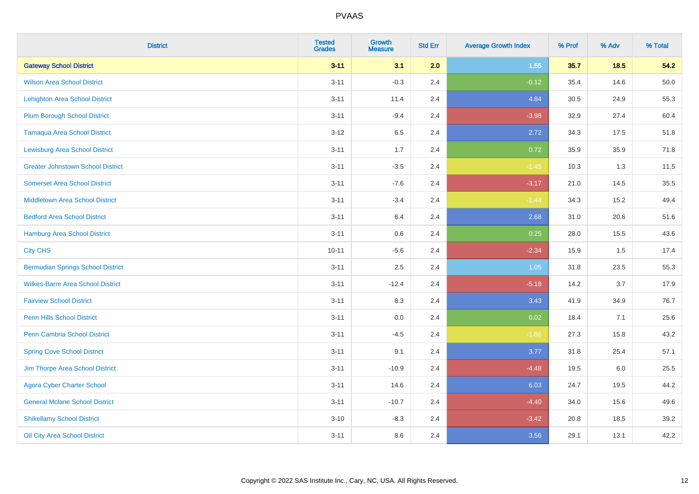| <b>District</b>                          | <b>Tested</b><br><b>Grades</b> | Growth<br><b>Measure</b> | <b>Std Err</b> | <b>Average Growth Index</b> | % Prof | % Adv  | % Total |
|------------------------------------------|--------------------------------|--------------------------|----------------|-----------------------------|--------|--------|---------|
| <b>Gateway School District</b>           | $3 - 11$                       | 3.1                      | 2.0            | 1.55                        | 35.7   | $18.5$ | 54.2    |
| <b>Wilson Area School District</b>       | $3 - 11$                       | $-0.3$                   | 2.4            | $-0.12$                     | 35.4   | 14.6   | 50.0    |
| <b>Lehighton Area School District</b>    | $3 - 11$                       | 11.4                     | 2.4            | 4.84                        | 30.5   | 24.9   | 55.3    |
| <b>Plum Borough School District</b>      | $3 - 11$                       | $-9.4$                   | 2.4            | $-3.98$                     | 32.9   | 27.4   | 60.4    |
| <b>Tamaqua Area School District</b>      | $3 - 12$                       | 6.5                      | 2.4            | 2.72                        | 34.3   | 17.5   | 51.8    |
| <b>Lewisburg Area School District</b>    | $3 - 11$                       | 1.7                      | 2.4            | 0.72                        | 35.9   | 35.9   | 71.8    |
| <b>Greater Johnstown School District</b> | $3 - 11$                       | $-3.5$                   | 2.4            | $-1.45$                     | 10.3   | 1.3    | 11.5    |
| <b>Somerset Area School District</b>     | $3 - 11$                       | $-7.6$                   | 2.4            | $-3.17$                     | 21.0   | 14.5   | 35.5    |
| <b>Middletown Area School District</b>   | $3 - 11$                       | $-3.4$                   | 2.4            | $-1.44$                     | 34.3   | 15.2   | 49.4    |
| <b>Bedford Area School District</b>      | $3 - 11$                       | 6.4                      | 2.4            | 2.68                        | 31.0   | 20.6   | 51.6    |
| Hamburg Area School District             | $3 - 11$                       | 0.6                      | 2.4            | 0.25                        | 28.0   | 15.5   | 43.6    |
| <b>City CHS</b>                          | $10 - 11$                      | $-5.6$                   | 2.4            | $-2.34$                     | 15.9   | 1.5    | 17.4    |
| <b>Bermudian Springs School District</b> | $3 - 11$                       | 2.5                      | 2.4            | 1.05                        | 31.8   | 23.5   | 55.3    |
| <b>Wilkes-Barre Area School District</b> | $3 - 11$                       | $-12.4$                  | 2.4            | $-5.18$                     | 14.2   | 3.7    | 17.9    |
| <b>Fairview School District</b>          | $3 - 11$                       | 8.3                      | 2.4            | 3.43                        | 41.9   | 34.9   | 76.7    |
| <b>Penn Hills School District</b>        | $3 - 11$                       | 0.0                      | 2.4            | 0.02                        | 18.4   | 7.1    | 25.6    |
| <b>Penn Cambria School District</b>      | $3 - 11$                       | $-4.5$                   | 2.4            | $-1.86$                     | 27.3   | 15.8   | 43.2    |
| <b>Spring Cove School District</b>       | $3 - 11$                       | 9.1                      | 2.4            | 3.77                        | 31.8   | 25.4   | 57.1    |
| Jim Thorpe Area School District          | $3 - 11$                       | $-10.9$                  | 2.4            | $-4.48$                     | 19.5   | 6.0    | 25.5    |
| <b>Agora Cyber Charter School</b>        | $3 - 11$                       | 14.6                     | 2.4            | 6.03                        | 24.7   | 19.5   | 44.2    |
| <b>General Mclane School District</b>    | $3 - 11$                       | $-10.7$                  | 2.4            | $-4.40$                     | 34.0   | 15.6   | 49.6    |
| <b>Shikellamy School District</b>        | $3 - 10$                       | $-8.3$                   | 2.4            | $-3.42$                     | 20.8   | 18.5   | 39.2    |
| Oil City Area School District            | $3 - 11$                       | 8.6                      | 2.4            | 3.56                        | 29.1   | 13.1   | 42.2    |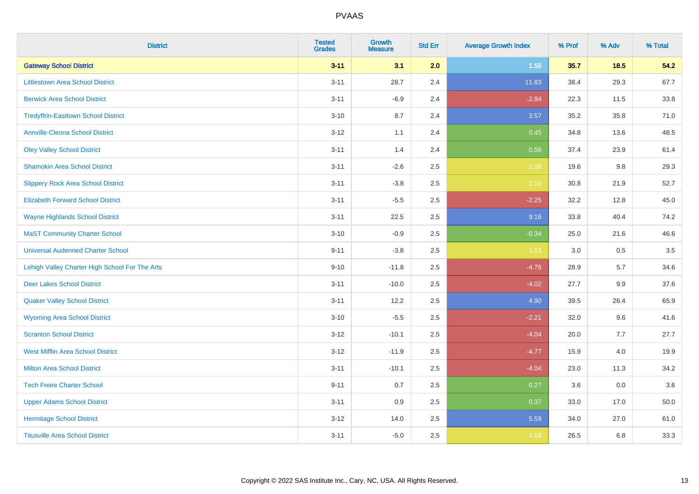| <b>District</b>                                | <b>Tested</b><br><b>Grades</b> | <b>Growth</b><br><b>Measure</b> | <b>Std Err</b> | <b>Average Growth Index</b> | % Prof | % Adv | % Total |
|------------------------------------------------|--------------------------------|---------------------------------|----------------|-----------------------------|--------|-------|---------|
| <b>Gateway School District</b>                 | $3 - 11$                       | 3.1                             | 2.0            | 1.55                        | 35.7   | 18.5  | 54.2    |
| <b>Littlestown Area School District</b>        | $3 - 11$                       | 28.7                            | 2.4            | 11.83                       | 38.4   | 29.3  | 67.7    |
| <b>Berwick Area School District</b>            | $3 - 11$                       | $-6.9$                          | 2.4            | $-2.84$                     | 22.3   | 11.5  | 33.8    |
| <b>Tredyffrin-Easttown School District</b>     | $3 - 10$                       | 8.7                             | 2.4            | 3.57                        | 35.2   | 35.8  | 71.0    |
| <b>Annville-Cleona School District</b>         | $3 - 12$                       | 1.1                             | 2.4            | 0.45                        | 34.8   | 13.6  | 48.5    |
| <b>Oley Valley School District</b>             | $3 - 11$                       | 1.4                             | 2.4            | 0.56                        | 37.4   | 23.9  | 61.4    |
| <b>Shamokin Area School District</b>           | $3 - 11$                       | $-2.6$                          | 2.5            | $-1.06$                     | 19.6   | 9.8   | 29.3    |
| <b>Slippery Rock Area School District</b>      | $3 - 11$                       | $-3.8$                          | 2.5            | $-1.56$                     | 30.8   | 21.9  | 52.7    |
| <b>Elizabeth Forward School District</b>       | $3 - 11$                       | $-5.5$                          | 2.5            | $-2.25$                     | 32.2   | 12.8  | 45.0    |
| <b>Wayne Highlands School District</b>         | $3 - 11$                       | 22.5                            | 2.5            | 9.16                        | 33.8   | 40.4  | 74.2    |
| <b>MaST Community Charter School</b>           | $3 - 10$                       | $-0.9$                          | 2.5            | $-0.34$                     | 25.0   | 21.6  | 46.6    |
| <b>Universal Audenried Charter School</b>      | $9 - 11$                       | $-3.8$                          | 2.5            | $-1.53$                     | 3.0    | 0.5   | 3.5     |
| Lehigh Valley Charter High School For The Arts | $9 - 10$                       | $-11.8$                         | 2.5            | $-4.76$                     | 28.9   | 5.7   | 34.6    |
| <b>Deer Lakes School District</b>              | $3 - 11$                       | $-10.0$                         | 2.5            | $-4.02$                     | 27.7   | 9.9   | 37.6    |
| <b>Quaker Valley School District</b>           | $3 - 11$                       | 12.2                            | 2.5            | 4.90                        | 39.5   | 26.4  | 65.9    |
| <b>Wyoming Area School District</b>            | $3 - 10$                       | $-5.5$                          | 2.5            | $-2.21$                     | 32.0   | 9.6   | 41.6    |
| <b>Scranton School District</b>                | $3 - 12$                       | $-10.1$                         | 2.5            | $-4.04$                     | 20.0   | 7.7   | 27.7    |
| <b>West Mifflin Area School District</b>       | $3 - 12$                       | $-11.9$                         | 2.5            | $-4.77$                     | 15.9   | 4.0   | 19.9    |
| <b>Milton Area School District</b>             | $3 - 11$                       | $-10.1$                         | 2.5            | $-4.04$                     | 23.0   | 11.3  | 34.2    |
| <b>Tech Freire Charter School</b>              | $9 - 11$                       | 0.7                             | 2.5            | 0.27                        | 3.6    | 0.0   | 3.6     |
| <b>Upper Adams School District</b>             | $3 - 11$                       | 0.9                             | 2.5            | 0.37                        | 33.0   | 17.0  | 50.0    |
| <b>Hermitage School District</b>               | $3 - 12$                       | 14.0                            | 2.5            | 5.59                        | 34.0   | 27.0  | 61.0    |
| <b>Titusville Area School District</b>         | $3 - 11$                       | $-5.0$                          | 2.5            | $-1.98$                     | 26.5   | 6.8   | 33.3    |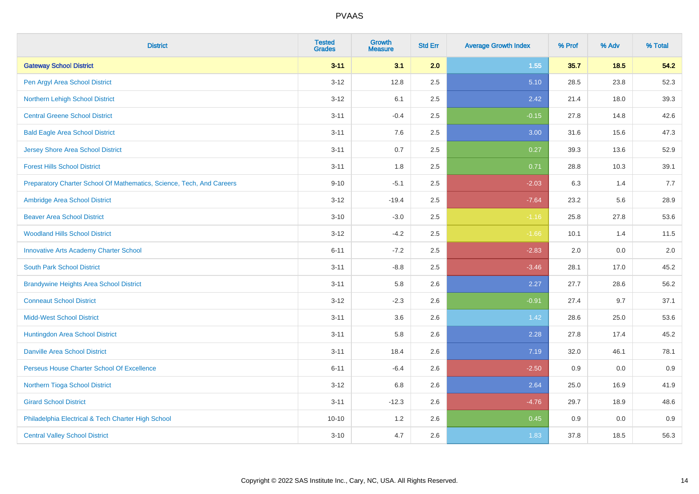| <b>District</b>                                                       | <b>Tested</b><br><b>Grades</b> | <b>Growth</b><br><b>Measure</b> | <b>Std Err</b> | <b>Average Growth Index</b> | % Prof | % Adv | % Total |
|-----------------------------------------------------------------------|--------------------------------|---------------------------------|----------------|-----------------------------|--------|-------|---------|
| <b>Gateway School District</b>                                        | $3 - 11$                       | 3.1                             | 2.0            | 1.55                        | 35.7   | 18.5  | 54.2    |
| Pen Argyl Area School District                                        | $3 - 12$                       | 12.8                            | 2.5            | 5.10                        | 28.5   | 23.8  | 52.3    |
| Northern Lehigh School District                                       | $3 - 12$                       | 6.1                             | 2.5            | 2.42                        | 21.4   | 18.0  | 39.3    |
| <b>Central Greene School District</b>                                 | $3 - 11$                       | $-0.4$                          | 2.5            | $-0.15$                     | 27.8   | 14.8  | 42.6    |
| <b>Bald Eagle Area School District</b>                                | $3 - 11$                       | 7.6                             | 2.5            | 3.00                        | 31.6   | 15.6  | 47.3    |
| <b>Jersey Shore Area School District</b>                              | $3 - 11$                       | 0.7                             | 2.5            | 0.27                        | 39.3   | 13.6  | 52.9    |
| <b>Forest Hills School District</b>                                   | $3 - 11$                       | 1.8                             | 2.5            | 0.71                        | 28.8   | 10.3  | 39.1    |
| Preparatory Charter School Of Mathematics, Science, Tech, And Careers | $9 - 10$                       | $-5.1$                          | 2.5            | $-2.03$                     | 6.3    | 1.4   | 7.7     |
| Ambridge Area School District                                         | $3 - 12$                       | $-19.4$                         | 2.5            | $-7.64$                     | 23.2   | 5.6   | 28.9    |
| <b>Beaver Area School District</b>                                    | $3 - 10$                       | $-3.0$                          | 2.5            | $-1.16$                     | 25.8   | 27.8  | 53.6    |
| <b>Woodland Hills School District</b>                                 | $3 - 12$                       | $-4.2$                          | 2.5            | $-1.66$                     | 10.1   | 1.4   | 11.5    |
| <b>Innovative Arts Academy Charter School</b>                         | $6 - 11$                       | $-7.2$                          | 2.5            | $-2.83$                     | 2.0    | 0.0   | 2.0     |
| <b>South Park School District</b>                                     | $3 - 11$                       | $-8.8$                          | 2.5            | $-3.46$                     | 28.1   | 17.0  | 45.2    |
| <b>Brandywine Heights Area School District</b>                        | $3 - 11$                       | 5.8                             | 2.6            | 2.27                        | 27.7   | 28.6  | 56.2    |
| <b>Conneaut School District</b>                                       | $3 - 12$                       | $-2.3$                          | 2.6            | $-0.91$                     | 27.4   | 9.7   | 37.1    |
| <b>Midd-West School District</b>                                      | $3 - 11$                       | 3.6                             | 2.6            | 1.42                        | 28.6   | 25.0  | 53.6    |
| Huntingdon Area School District                                       | $3 - 11$                       | 5.8                             | 2.6            | 2.28                        | 27.8   | 17.4  | 45.2    |
| <b>Danville Area School District</b>                                  | $3 - 11$                       | 18.4                            | 2.6            | 7.19                        | 32.0   | 46.1  | 78.1    |
| Perseus House Charter School Of Excellence                            | $6 - 11$                       | $-6.4$                          | 2.6            | $-2.50$                     | 0.9    | 0.0   | 0.9     |
| Northern Tioga School District                                        | $3 - 12$                       | 6.8                             | 2.6            | 2.64                        | 25.0   | 16.9  | 41.9    |
| <b>Girard School District</b>                                         | $3 - 11$                       | $-12.3$                         | 2.6            | $-4.76$                     | 29.7   | 18.9  | 48.6    |
| Philadelphia Electrical & Tech Charter High School                    | $10 - 10$                      | 1.2                             | 2.6            | 0.45                        | 0.9    | 0.0   | 0.9     |
| <b>Central Valley School District</b>                                 | $3 - 10$                       | 4.7                             | 2.6            | 1.83                        | 37.8   | 18.5  | 56.3    |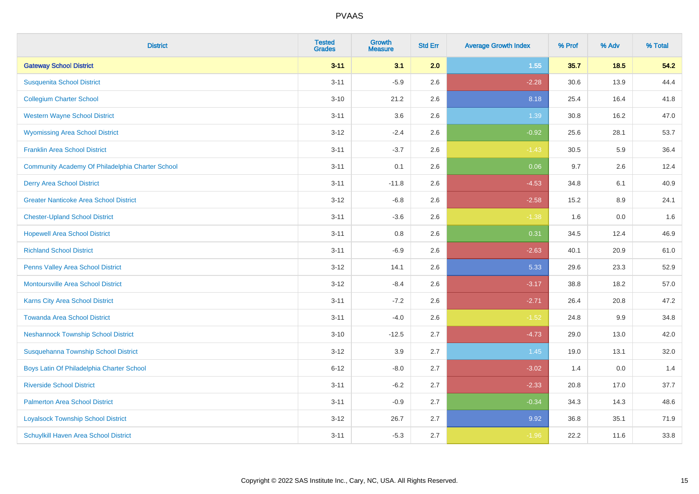| <b>District</b>                                  | <b>Tested</b><br><b>Grades</b> | <b>Growth</b><br><b>Measure</b> | <b>Std Err</b> | <b>Average Growth Index</b> | % Prof | % Adv  | % Total |
|--------------------------------------------------|--------------------------------|---------------------------------|----------------|-----------------------------|--------|--------|---------|
| <b>Gateway School District</b>                   | $3 - 11$                       | 3.1                             | 2.0            | 1.55                        | 35.7   | $18.5$ | 54.2    |
| <b>Susquenita School District</b>                | $3 - 11$                       | $-5.9$                          | 2.6            | $-2.28$                     | 30.6   | 13.9   | 44.4    |
| <b>Collegium Charter School</b>                  | $3 - 10$                       | 21.2                            | 2.6            | 8.18                        | 25.4   | 16.4   | 41.8    |
| <b>Western Wayne School District</b>             | $3 - 11$                       | 3.6                             | 2.6            | 1.39                        | 30.8   | 16.2   | 47.0    |
| <b>Wyomissing Area School District</b>           | $3 - 12$                       | $-2.4$                          | 2.6            | $-0.92$                     | 25.6   | 28.1   | 53.7    |
| <b>Franklin Area School District</b>             | $3 - 11$                       | $-3.7$                          | 2.6            | $-1.43$                     | 30.5   | 5.9    | 36.4    |
| Community Academy Of Philadelphia Charter School | $3 - 11$                       | 0.1                             | 2.6            | 0.06                        | 9.7    | 2.6    | 12.4    |
| <b>Derry Area School District</b>                | $3 - 11$                       | $-11.8$                         | 2.6            | $-4.53$                     | 34.8   | 6.1    | 40.9    |
| <b>Greater Nanticoke Area School District</b>    | $3 - 12$                       | $-6.8$                          | 2.6            | $-2.58$                     | 15.2   | 8.9    | 24.1    |
| <b>Chester-Upland School District</b>            | $3 - 11$                       | $-3.6$                          | 2.6            | $-1.38$                     | 1.6    | 0.0    | 1.6     |
| <b>Hopewell Area School District</b>             | $3 - 11$                       | 0.8                             | 2.6            | 0.31                        | 34.5   | 12.4   | 46.9    |
| <b>Richland School District</b>                  | $3 - 11$                       | $-6.9$                          | 2.6            | $-2.63$                     | 40.1   | 20.9   | 61.0    |
| Penns Valley Area School District                | $3 - 12$                       | 14.1                            | 2.6            | 5.33                        | 29.6   | 23.3   | 52.9    |
| <b>Montoursville Area School District</b>        | $3 - 12$                       | $-8.4$                          | 2.6            | $-3.17$                     | 38.8   | 18.2   | 57.0    |
| <b>Karns City Area School District</b>           | $3 - 11$                       | $-7.2$                          | 2.6            | $-2.71$                     | 26.4   | 20.8   | 47.2    |
| <b>Towanda Area School District</b>              | $3 - 11$                       | $-4.0$                          | 2.6            | $-1.52$                     | 24.8   | 9.9    | 34.8    |
| <b>Neshannock Township School District</b>       | $3 - 10$                       | $-12.5$                         | 2.7            | $-4.73$                     | 29.0   | 13.0   | 42.0    |
| Susquehanna Township School District             | $3-12$                         | 3.9                             | 2.7            | 1.45                        | 19.0   | 13.1   | 32.0    |
| Boys Latin Of Philadelphia Charter School        | $6 - 12$                       | $-8.0$                          | 2.7            | $-3.02$                     | 1.4    | 0.0    | 1.4     |
| <b>Riverside School District</b>                 | $3 - 11$                       | $-6.2$                          | 2.7            | $-2.33$                     | 20.8   | 17.0   | 37.7    |
| <b>Palmerton Area School District</b>            | $3 - 11$                       | $-0.9$                          | 2.7            | $-0.34$                     | 34.3   | 14.3   | 48.6    |
| <b>Loyalsock Township School District</b>        | $3-12$                         | 26.7                            | 2.7            | 9.92                        | 36.8   | 35.1   | 71.9    |
| Schuylkill Haven Area School District            | $3 - 11$                       | $-5.3$                          | 2.7            | $-1.96$                     | 22.2   | 11.6   | 33.8    |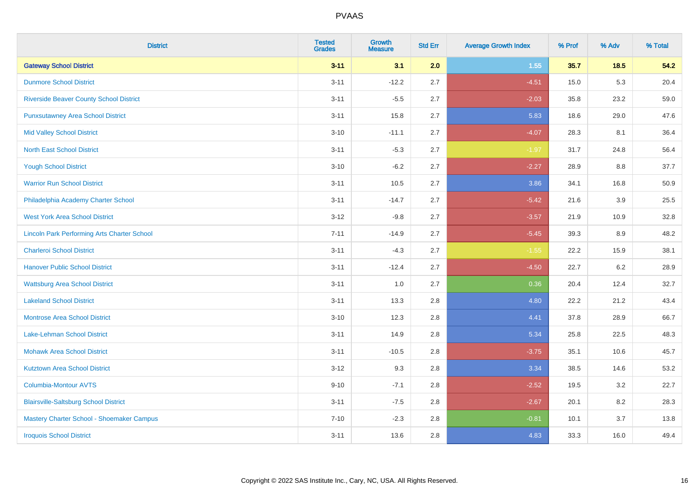| <b>District</b>                                    | <b>Tested</b><br><b>Grades</b> | <b>Growth</b><br><b>Measure</b> | <b>Std Err</b> | <b>Average Growth Index</b> | % Prof | % Adv   | % Total |
|----------------------------------------------------|--------------------------------|---------------------------------|----------------|-----------------------------|--------|---------|---------|
| <b>Gateway School District</b>                     | $3 - 11$                       | 3.1                             | 2.0            | 1.55                        | 35.7   | $18.5$  | 54.2    |
| <b>Dunmore School District</b>                     | $3 - 11$                       | $-12.2$                         | 2.7            | $-4.51$                     | 15.0   | 5.3     | 20.4    |
| <b>Riverside Beaver County School District</b>     | $3 - 11$                       | $-5.5$                          | 2.7            | $-2.03$                     | 35.8   | 23.2    | 59.0    |
| <b>Punxsutawney Area School District</b>           | $3 - 11$                       | 15.8                            | 2.7            | 5.83                        | 18.6   | 29.0    | 47.6    |
| <b>Mid Valley School District</b>                  | $3 - 10$                       | $-11.1$                         | 2.7            | $-4.07$                     | 28.3   | 8.1     | 36.4    |
| <b>North East School District</b>                  | $3 - 11$                       | $-5.3$                          | 2.7            | $-1.97$                     | 31.7   | 24.8    | 56.4    |
| <b>Yough School District</b>                       | $3 - 10$                       | $-6.2$                          | 2.7            | $-2.27$                     | 28.9   | 8.8     | 37.7    |
| <b>Warrior Run School District</b>                 | $3 - 11$                       | 10.5                            | 2.7            | 3.86                        | 34.1   | 16.8    | 50.9    |
| Philadelphia Academy Charter School                | $3 - 11$                       | $-14.7$                         | 2.7            | $-5.42$                     | 21.6   | 3.9     | 25.5    |
| <b>West York Area School District</b>              | $3 - 12$                       | $-9.8$                          | 2.7            | $-3.57$                     | 21.9   | 10.9    | 32.8    |
| <b>Lincoln Park Performing Arts Charter School</b> | $7 - 11$                       | $-14.9$                         | 2.7            | $-5.45$                     | 39.3   | 8.9     | 48.2    |
| <b>Charleroi School District</b>                   | $3 - 11$                       | $-4.3$                          | 2.7            | $-1.55$                     | 22.2   | 15.9    | 38.1    |
| <b>Hanover Public School District</b>              | $3 - 11$                       | $-12.4$                         | 2.7            | $-4.50$                     | 22.7   | $6.2\,$ | 28.9    |
| <b>Wattsburg Area School District</b>              | $3 - 11$                       | 1.0                             | 2.7            | 0.36                        | 20.4   | 12.4    | 32.7    |
| <b>Lakeland School District</b>                    | $3 - 11$                       | 13.3                            | 2.8            | 4.80                        | 22.2   | 21.2    | 43.4    |
| <b>Montrose Area School District</b>               | $3 - 10$                       | 12.3                            | 2.8            | 4.41                        | 37.8   | 28.9    | 66.7    |
| Lake-Lehman School District                        | $3 - 11$                       | 14.9                            | 2.8            | 5.34                        | 25.8   | 22.5    | 48.3    |
| <b>Mohawk Area School District</b>                 | $3 - 11$                       | $-10.5$                         | 2.8            | $-3.75$                     | 35.1   | 10.6    | 45.7    |
| <b>Kutztown Area School District</b>               | $3 - 12$                       | 9.3                             | 2.8            | 3.34                        | 38.5   | 14.6    | 53.2    |
| Columbia-Montour AVTS                              | $9 - 10$                       | $-7.1$                          | 2.8            | $-2.52$                     | 19.5   | 3.2     | 22.7    |
| <b>Blairsville-Saltsburg School District</b>       | $3 - 11$                       | $-7.5$                          | 2.8            | $-2.67$                     | 20.1   | 8.2     | 28.3    |
| Mastery Charter School - Shoemaker Campus          | $7 - 10$                       | $-2.3$                          | 2.8            | $-0.81$                     | 10.1   | 3.7     | 13.8    |
| <b>Iroquois School District</b>                    | $3 - 11$                       | 13.6                            | 2.8            | 4.83                        | 33.3   | 16.0    | 49.4    |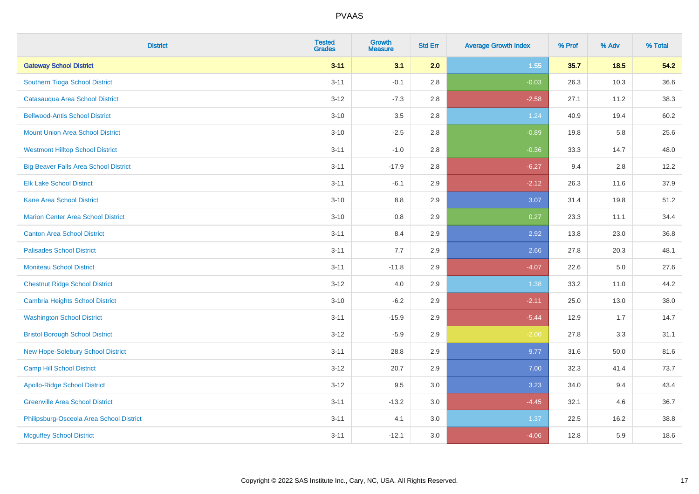| <b>District</b>                              | <b>Tested</b><br><b>Grades</b> | <b>Growth</b><br><b>Measure</b> | <b>Std Err</b> | <b>Average Growth Index</b> | % Prof | % Adv  | % Total |
|----------------------------------------------|--------------------------------|---------------------------------|----------------|-----------------------------|--------|--------|---------|
| <b>Gateway School District</b>               | $3 - 11$                       | 3.1                             | 2.0            | 1.55                        | 35.7   | $18.5$ | 54.2    |
| Southern Tioga School District               | $3 - 11$                       | $-0.1$                          | 2.8            | $-0.03$                     | 26.3   | 10.3   | 36.6    |
| Catasauqua Area School District              | $3 - 12$                       | $-7.3$                          | 2.8            | $-2.58$                     | 27.1   | 11.2   | 38.3    |
| <b>Bellwood-Antis School District</b>        | $3 - 10$                       | $3.5\,$                         | 2.8            | 1.24                        | 40.9   | 19.4   | 60.2    |
| <b>Mount Union Area School District</b>      | $3 - 10$                       | $-2.5$                          | 2.8            | $-0.89$                     | 19.8   | 5.8    | 25.6    |
| <b>Westmont Hilltop School District</b>      | $3 - 11$                       | $-1.0$                          | 2.8            | $-0.36$                     | 33.3   | 14.7   | 48.0    |
| <b>Big Beaver Falls Area School District</b> | $3 - 11$                       | $-17.9$                         | 2.8            | $-6.27$                     | 9.4    | 2.8    | 12.2    |
| <b>Elk Lake School District</b>              | $3 - 11$                       | $-6.1$                          | 2.9            | $-2.12$                     | 26.3   | 11.6   | 37.9    |
| <b>Kane Area School District</b>             | $3 - 10$                       | 8.8                             | 2.9            | 3.07                        | 31.4   | 19.8   | 51.2    |
| <b>Marion Center Area School District</b>    | $3 - 10$                       | 0.8                             | 2.9            | 0.27                        | 23.3   | 11.1   | 34.4    |
| <b>Canton Area School District</b>           | $3 - 11$                       | 8.4                             | 2.9            | 2.92                        | 13.8   | 23.0   | 36.8    |
| <b>Palisades School District</b>             | $3 - 11$                       | 7.7                             | 2.9            | 2.66                        | 27.8   | 20.3   | 48.1    |
| <b>Moniteau School District</b>              | $3 - 11$                       | $-11.8$                         | 2.9            | $-4.07$                     | 22.6   | 5.0    | 27.6    |
| <b>Chestnut Ridge School District</b>        | $3 - 12$                       | 4.0                             | 2.9            | 1.38                        | 33.2   | 11.0   | 44.2    |
| <b>Cambria Heights School District</b>       | $3 - 10$                       | $-6.2$                          | 2.9            | $-2.11$                     | 25.0   | 13.0   | 38.0    |
| <b>Washington School District</b>            | $3 - 11$                       | $-15.9$                         | 2.9            | $-5.44$                     | 12.9   | 1.7    | 14.7    |
| <b>Bristol Borough School District</b>       | $3 - 12$                       | $-5.9$                          | 2.9            | $-2.00$                     | 27.8   | 3.3    | 31.1    |
| New Hope-Solebury School District            | $3 - 11$                       | 28.8                            | 2.9            | 9.77                        | 31.6   | 50.0   | 81.6    |
| <b>Camp Hill School District</b>             | $3 - 12$                       | 20.7                            | 2.9            | 7.00                        | 32.3   | 41.4   | 73.7    |
| <b>Apollo-Ridge School District</b>          | $3-12$                         | 9.5                             | 3.0            | 3.23                        | 34.0   | 9.4    | 43.4    |
| <b>Greenville Area School District</b>       | $3 - 11$                       | $-13.2$                         | 3.0            | $-4.45$                     | 32.1   | 4.6    | 36.7    |
| Philipsburg-Osceola Area School District     | $3 - 11$                       | 4.1                             | 3.0            | 1.37                        | 22.5   | 16.2   | 38.8    |
| <b>Mcguffey School District</b>              | $3 - 11$                       | $-12.1$                         | 3.0            | $-4.06$                     | 12.8   | 5.9    | 18.6    |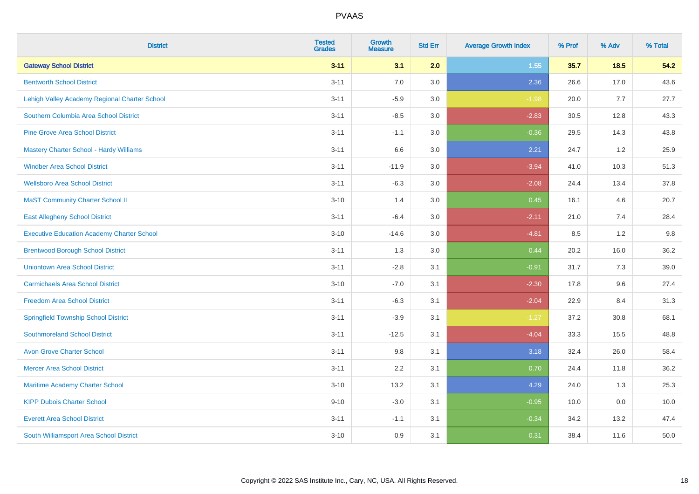| <b>District</b>                                   | <b>Tested</b><br><b>Grades</b> | <b>Growth</b><br><b>Measure</b> | <b>Std Err</b> | <b>Average Growth Index</b> | % Prof | % Adv | % Total |
|---------------------------------------------------|--------------------------------|---------------------------------|----------------|-----------------------------|--------|-------|---------|
| <b>Gateway School District</b>                    | $3 - 11$                       | 3.1                             | 2.0            | 1.55                        | 35.7   | 18.5  | 54.2    |
| <b>Bentworth School District</b>                  | $3 - 11$                       | 7.0                             | 3.0            | 2.36                        | 26.6   | 17.0  | 43.6    |
| Lehigh Valley Academy Regional Charter School     | $3 - 11$                       | $-5.9$                          | 3.0            | $-1.98$                     | 20.0   | 7.7   | 27.7    |
| Southern Columbia Area School District            | $3 - 11$                       | $-8.5$                          | 3.0            | $-2.83$                     | 30.5   | 12.8  | 43.3    |
| <b>Pine Grove Area School District</b>            | $3 - 11$                       | $-1.1$                          | 3.0            | $-0.36$                     | 29.5   | 14.3  | 43.8    |
| Mastery Charter School - Hardy Williams           | $3 - 11$                       | 6.6                             | 3.0            | 2.21                        | 24.7   | 1.2   | 25.9    |
| <b>Windber Area School District</b>               | $3 - 11$                       | $-11.9$                         | 3.0            | $-3.94$                     | 41.0   | 10.3  | 51.3    |
| <b>Wellsboro Area School District</b>             | $3 - 11$                       | $-6.3$                          | 3.0            | $-2.08$                     | 24.4   | 13.4  | 37.8    |
| <b>MaST Community Charter School II</b>           | $3 - 10$                       | 1.4                             | 3.0            | 0.45                        | 16.1   | 4.6   | 20.7    |
| <b>East Allegheny School District</b>             | $3 - 11$                       | $-6.4$                          | 3.0            | $-2.11$                     | 21.0   | 7.4   | 28.4    |
| <b>Executive Education Academy Charter School</b> | $3 - 10$                       | $-14.6$                         | 3.0            | $-4.81$                     | 8.5    | 1.2   | 9.8     |
| <b>Brentwood Borough School District</b>          | $3 - 11$                       | 1.3                             | 3.0            | 0.44                        | 20.2   | 16.0  | 36.2    |
| <b>Uniontown Area School District</b>             | $3 - 11$                       | $-2.8$                          | 3.1            | $-0.91$                     | 31.7   | 7.3   | 39.0    |
| <b>Carmichaels Area School District</b>           | $3 - 10$                       | $-7.0$                          | 3.1            | $-2.30$                     | 17.8   | 9.6   | 27.4    |
| <b>Freedom Area School District</b>               | $3 - 11$                       | $-6.3$                          | 3.1            | $-2.04$                     | 22.9   | 8.4   | 31.3    |
| <b>Springfield Township School District</b>       | $3 - 11$                       | $-3.9$                          | 3.1            | $-1.27$                     | 37.2   | 30.8  | 68.1    |
| <b>Southmoreland School District</b>              | $3 - 11$                       | $-12.5$                         | 3.1            | $-4.04$                     | 33.3   | 15.5  | 48.8    |
| <b>Avon Grove Charter School</b>                  | $3 - 11$                       | 9.8                             | 3.1            | 3.18                        | 32.4   | 26.0  | 58.4    |
| <b>Mercer Area School District</b>                | $3 - 11$                       | 2.2                             | 3.1            | 0.70                        | 24.4   | 11.8  | 36.2    |
| Maritime Academy Charter School                   | $3 - 10$                       | 13.2                            | 3.1            | 4.29                        | 24.0   | 1.3   | 25.3    |
| <b>KIPP Dubois Charter School</b>                 | $9 - 10$                       | $-3.0$                          | 3.1            | $-0.95$                     | 10.0   | 0.0   | 10.0    |
| <b>Everett Area School District</b>               | $3 - 11$                       | $-1.1$                          | 3.1            | $-0.34$                     | 34.2   | 13.2  | 47.4    |
| South Williamsport Area School District           | $3 - 10$                       | 0.9                             | 3.1            | 0.31                        | 38.4   | 11.6  | 50.0    |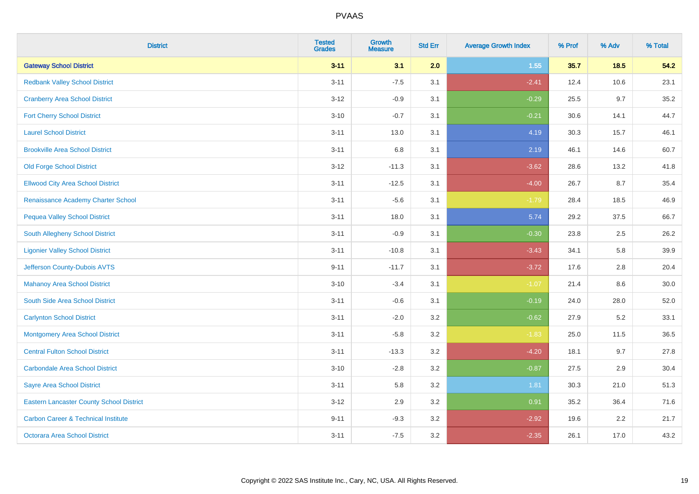| <b>District</b>                                 | <b>Tested</b><br><b>Grades</b> | <b>Growth</b><br><b>Measure</b> | <b>Std Err</b> | <b>Average Growth Index</b> | % Prof | % Adv  | % Total |
|-------------------------------------------------|--------------------------------|---------------------------------|----------------|-----------------------------|--------|--------|---------|
| <b>Gateway School District</b>                  | $3 - 11$                       | 3.1                             | 2.0            | 1.55                        | 35.7   | $18.5$ | 54.2    |
| <b>Redbank Valley School District</b>           | $3 - 11$                       | $-7.5$                          | 3.1            | $-2.41$                     | 12.4   | 10.6   | 23.1    |
| <b>Cranberry Area School District</b>           | $3 - 12$                       | $-0.9$                          | 3.1            | $-0.29$                     | 25.5   | 9.7    | 35.2    |
| <b>Fort Cherry School District</b>              | $3 - 10$                       | $-0.7$                          | 3.1            | $-0.21$                     | 30.6   | 14.1   | 44.7    |
| <b>Laurel School District</b>                   | $3 - 11$                       | 13.0                            | 3.1            | 4.19                        | 30.3   | 15.7   | 46.1    |
| <b>Brookville Area School District</b>          | $3 - 11$                       | 6.8                             | 3.1            | 2.19                        | 46.1   | 14.6   | 60.7    |
| <b>Old Forge School District</b>                | $3 - 12$                       | $-11.3$                         | 3.1            | $-3.62$                     | 28.6   | 13.2   | 41.8    |
| <b>Ellwood City Area School District</b>        | $3 - 11$                       | $-12.5$                         | 3.1            | $-4.00$                     | 26.7   | 8.7    | 35.4    |
| Renaissance Academy Charter School              | $3 - 11$                       | $-5.6$                          | 3.1            | $-1.79$                     | 28.4   | 18.5   | 46.9    |
| <b>Pequea Valley School District</b>            | $3 - 11$                       | 18.0                            | 3.1            | 5.74                        | 29.2   | 37.5   | 66.7    |
| South Allegheny School District                 | $3 - 11$                       | $-0.9$                          | 3.1            | $-0.30$                     | 23.8   | 2.5    | 26.2    |
| <b>Ligonier Valley School District</b>          | $3 - 11$                       | $-10.8$                         | 3.1            | $-3.43$                     | 34.1   | 5.8    | 39.9    |
| Jefferson County-Dubois AVTS                    | $9 - 11$                       | $-11.7$                         | 3.1            | $-3.72$                     | 17.6   | 2.8    | 20.4    |
| <b>Mahanoy Area School District</b>             | $3 - 10$                       | $-3.4$                          | 3.1            | $-1.07$                     | 21.4   | 8.6    | 30.0    |
| South Side Area School District                 | $3 - 11$                       | $-0.6$                          | 3.1            | $-0.19$                     | 24.0   | 28.0   | 52.0    |
| <b>Carlynton School District</b>                | $3 - 11$                       | $-2.0$                          | 3.2            | $-0.62$                     | 27.9   | 5.2    | 33.1    |
| <b>Montgomery Area School District</b>          | $3 - 11$                       | $-5.8$                          | 3.2            | $-1.83$                     | 25.0   | 11.5   | 36.5    |
| <b>Central Fulton School District</b>           | $3 - 11$                       | $-13.3$                         | 3.2            | $-4.20$                     | 18.1   | 9.7    | 27.8    |
| <b>Carbondale Area School District</b>          | $3 - 10$                       | $-2.8$                          | 3.2            | $-0.87$                     | 27.5   | 2.9    | 30.4    |
| <b>Sayre Area School District</b>               | $3 - 11$                       | 5.8                             | 3.2            | 1.81                        | 30.3   | 21.0   | 51.3    |
| <b>Eastern Lancaster County School District</b> | $3 - 12$                       | 2.9                             | 3.2            | 0.91                        | 35.2   | 36.4   | 71.6    |
| <b>Carbon Career &amp; Technical Institute</b>  | $9 - 11$                       | $-9.3$                          | 3.2            | $-2.92$                     | 19.6   | 2.2    | 21.7    |
| Octorara Area School District                   | $3 - 11$                       | $-7.5$                          | 3.2            | $-2.35$                     | 26.1   | 17.0   | 43.2    |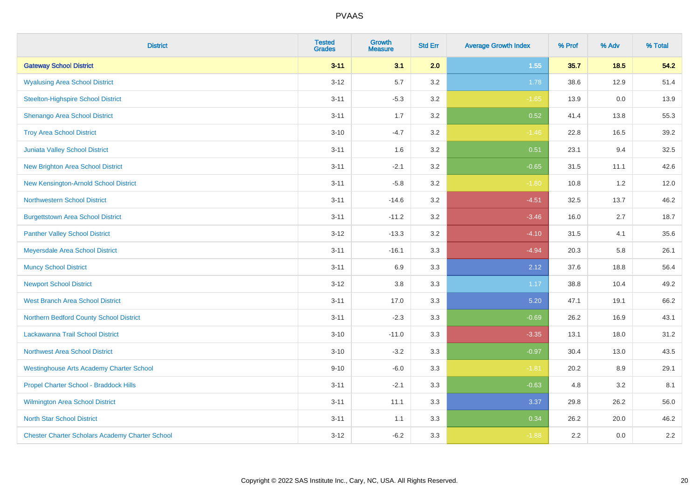| <b>District</b>                                        | <b>Tested</b><br><b>Grades</b> | <b>Growth</b><br><b>Measure</b> | <b>Std Err</b> | <b>Average Growth Index</b> | % Prof | % Adv | % Total |
|--------------------------------------------------------|--------------------------------|---------------------------------|----------------|-----------------------------|--------|-------|---------|
| <b>Gateway School District</b>                         | $3 - 11$                       | 3.1                             | 2.0            | 1.55                        | 35.7   | 18.5  | 54.2    |
| <b>Wyalusing Area School District</b>                  | $3 - 12$                       | 5.7                             | 3.2            | 1.78                        | 38.6   | 12.9  | 51.4    |
| <b>Steelton-Highspire School District</b>              | $3 - 11$                       | $-5.3$                          | 3.2            | $-1.65$                     | 13.9   | 0.0   | 13.9    |
| Shenango Area School District                          | $3 - 11$                       | 1.7                             | 3.2            | 0.52                        | 41.4   | 13.8  | 55.3    |
| <b>Troy Area School District</b>                       | $3 - 10$                       | $-4.7$                          | 3.2            | $-1.46$                     | 22.8   | 16.5  | 39.2    |
| Juniata Valley School District                         | $3 - 11$                       | 1.6                             | 3.2            | 0.51                        | 23.1   | 9.4   | 32.5    |
| <b>New Brighton Area School District</b>               | $3 - 11$                       | $-2.1$                          | 3.2            | $-0.65$                     | 31.5   | 11.1  | 42.6    |
| New Kensington-Arnold School District                  | $3 - 11$                       | $-5.8$                          | 3.2            | $-1.80$                     | 10.8   | 1.2   | 12.0    |
| <b>Northwestern School District</b>                    | $3 - 11$                       | $-14.6$                         | 3.2            | $-4.51$                     | 32.5   | 13.7  | 46.2    |
| <b>Burgettstown Area School District</b>               | $3 - 11$                       | $-11.2$                         | 3.2            | $-3.46$                     | 16.0   | 2.7   | 18.7    |
| <b>Panther Valley School District</b>                  | $3 - 12$                       | $-13.3$                         | 3.2            | $-4.10$                     | 31.5   | 4.1   | 35.6    |
| Meyersdale Area School District                        | $3 - 11$                       | $-16.1$                         | 3.3            | $-4.94$                     | 20.3   | 5.8   | 26.1    |
| <b>Muncy School District</b>                           | $3 - 11$                       | 6.9                             | 3.3            | 2.12                        | 37.6   | 18.8  | 56.4    |
| <b>Newport School District</b>                         | $3 - 12$                       | $3.8\,$                         | 3.3            | 1.17                        | 38.8   | 10.4  | 49.2    |
| <b>West Branch Area School District</b>                | $3 - 11$                       | 17.0                            | 3.3            | 5.20                        | 47.1   | 19.1  | 66.2    |
| Northern Bedford County School District                | $3 - 11$                       | $-2.3$                          | 3.3            | $-0.69$                     | 26.2   | 16.9  | 43.1    |
| Lackawanna Trail School District                       | $3 - 10$                       | $-11.0$                         | 3.3            | $-3.35$                     | 13.1   | 18.0  | 31.2    |
| <b>Northwest Area School District</b>                  | $3 - 10$                       | $-3.2$                          | 3.3            | $-0.97$                     | 30.4   | 13.0  | 43.5    |
| <b>Westinghouse Arts Academy Charter School</b>        | $9 - 10$                       | $-6.0$                          | 3.3            | $-1.81$                     | 20.2   | 8.9   | 29.1    |
| Propel Charter School - Braddock Hills                 | $3 - 11$                       | $-2.1$                          | 3.3            | $-0.63$                     | 4.8    | 3.2   | 8.1     |
| Wilmington Area School District                        | $3 - 11$                       | 11.1                            | 3.3            | 3.37                        | 29.8   | 26.2  | 56.0    |
| <b>North Star School District</b>                      | $3 - 11$                       | 1.1                             | 3.3            | 0.34                        | 26.2   | 20.0  | 46.2    |
| <b>Chester Charter Scholars Academy Charter School</b> | $3 - 12$                       | $-6.2$                          | 3.3            | $-1.88$                     | 2.2    | 0.0   | 2.2     |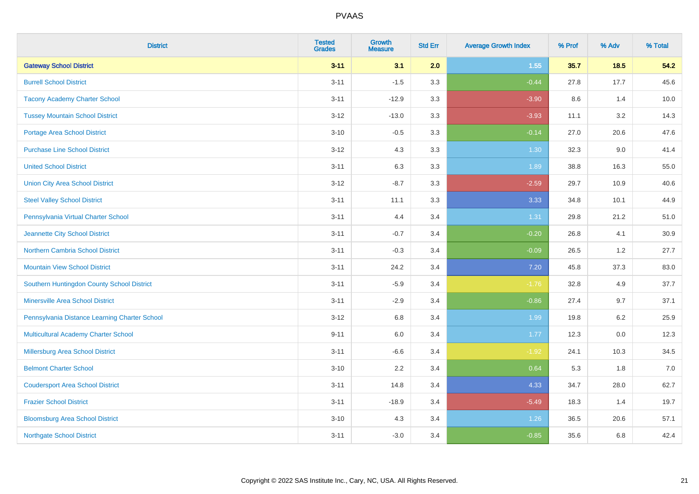| <b>District</b>                               | <b>Tested</b><br><b>Grades</b> | <b>Growth</b><br><b>Measure</b> | <b>Std Err</b> | <b>Average Growth Index</b> | % Prof | % Adv  | % Total |
|-----------------------------------------------|--------------------------------|---------------------------------|----------------|-----------------------------|--------|--------|---------|
| <b>Gateway School District</b>                | $3 - 11$                       | 3.1                             | 2.0            | 1.55                        | 35.7   | $18.5$ | 54.2    |
| <b>Burrell School District</b>                | $3 - 11$                       | $-1.5$                          | 3.3            | $-0.44$                     | 27.8   | 17.7   | 45.6    |
| <b>Tacony Academy Charter School</b>          | $3 - 11$                       | $-12.9$                         | 3.3            | $-3.90$                     | 8.6    | 1.4    | 10.0    |
| <b>Tussey Mountain School District</b>        | $3 - 12$                       | $-13.0$                         | 3.3            | $-3.93$                     | 11.1   | 3.2    | 14.3    |
| <b>Portage Area School District</b>           | $3 - 10$                       | $-0.5$                          | 3.3            | $-0.14$                     | 27.0   | 20.6   | 47.6    |
| <b>Purchase Line School District</b>          | $3 - 12$                       | 4.3                             | 3.3            | 1.30                        | 32.3   | 9.0    | 41.4    |
| <b>United School District</b>                 | $3 - 11$                       | 6.3                             | 3.3            | 1.89                        | 38.8   | 16.3   | 55.0    |
| <b>Union City Area School District</b>        | $3 - 12$                       | $-8.7$                          | 3.3            | $-2.59$                     | 29.7   | 10.9   | 40.6    |
| <b>Steel Valley School District</b>           | $3 - 11$                       | 11.1                            | 3.3            | 3.33                        | 34.8   | 10.1   | 44.9    |
| Pennsylvania Virtual Charter School           | $3 - 11$                       | 4.4                             | 3.4            | 1.31                        | 29.8   | 21.2   | 51.0    |
| Jeannette City School District                | $3 - 11$                       | $-0.7$                          | 3.4            | $-0.20$                     | 26.8   | 4.1    | 30.9    |
| <b>Northern Cambria School District</b>       | $3 - 11$                       | $-0.3$                          | 3.4            | $-0.09$                     | 26.5   | 1.2    | 27.7    |
| <b>Mountain View School District</b>          | $3 - 11$                       | 24.2                            | 3.4            | 7.20                        | 45.8   | 37.3   | 83.0    |
| Southern Huntingdon County School District    | $3 - 11$                       | $-5.9$                          | 3.4            | $-1.76$                     | 32.8   | 4.9    | 37.7    |
| <b>Minersville Area School District</b>       | $3 - 11$                       | $-2.9$                          | 3.4            | $-0.86$                     | 27.4   | 9.7    | 37.1    |
| Pennsylvania Distance Learning Charter School | $3 - 12$                       | 6.8                             | 3.4            | 1.99                        | 19.8   | 6.2    | 25.9    |
| <b>Multicultural Academy Charter School</b>   | $9 - 11$                       | 6.0                             | 3.4            | 1.77                        | 12.3   | 0.0    | 12.3    |
| Millersburg Area School District              | $3 - 11$                       | $-6.6$                          | 3.4            | $-1.92$                     | 24.1   | 10.3   | 34.5    |
| <b>Belmont Charter School</b>                 | $3 - 10$                       | 2.2                             | 3.4            | 0.64                        | 5.3    | 1.8    | 7.0     |
| <b>Coudersport Area School District</b>       | $3 - 11$                       | 14.8                            | 3.4            | 4.33                        | 34.7   | 28.0   | 62.7    |
| <b>Frazier School District</b>                | $3 - 11$                       | $-18.9$                         | 3.4            | $-5.49$                     | 18.3   | 1.4    | 19.7    |
| <b>Bloomsburg Area School District</b>        | $3 - 10$                       | 4.3                             | 3.4            | 1.26                        | 36.5   | 20.6   | 57.1    |
| <b>Northgate School District</b>              | $3 - 11$                       | $-3.0$                          | 3.4            | $-0.85$                     | 35.6   | 6.8    | 42.4    |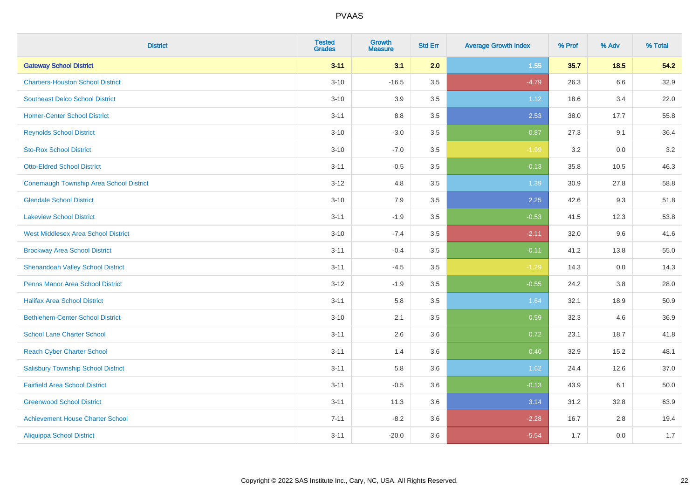| <b>District</b>                                | <b>Tested</b><br><b>Grades</b> | <b>Growth</b><br><b>Measure</b> | <b>Std Err</b> | <b>Average Growth Index</b> | % Prof | % Adv   | % Total |
|------------------------------------------------|--------------------------------|---------------------------------|----------------|-----------------------------|--------|---------|---------|
| <b>Gateway School District</b>                 | $3 - 11$                       | 3.1                             | 2.0            | 1.55                        | 35.7   | $18.5$  | 54.2    |
| <b>Chartiers-Houston School District</b>       | $3 - 10$                       | $-16.5$                         | 3.5            | $-4.79$                     | 26.3   | $6.6\,$ | 32.9    |
| <b>Southeast Delco School District</b>         | $3 - 10$                       | 3.9                             | 3.5            | 1.12                        | 18.6   | 3.4     | 22.0    |
| <b>Homer-Center School District</b>            | $3 - 11$                       | 8.8                             | 3.5            | 2.53                        | 38.0   | 17.7    | 55.8    |
| <b>Reynolds School District</b>                | $3 - 10$                       | $-3.0$                          | 3.5            | $-0.87$                     | 27.3   | 9.1     | 36.4    |
| <b>Sto-Rox School District</b>                 | $3 - 10$                       | $-7.0$                          | 3.5            | $-1.99$                     | 3.2    | 0.0     | $3.2\,$ |
| <b>Otto-Eldred School District</b>             | $3 - 11$                       | $-0.5$                          | 3.5            | $-0.13$                     | 35.8   | 10.5    | 46.3    |
| <b>Conemaugh Township Area School District</b> | $3 - 12$                       | 4.8                             | 3.5            | 1.39                        | 30.9   | 27.8    | 58.8    |
| <b>Glendale School District</b>                | $3 - 10$                       | 7.9                             | 3.5            | 2.25                        | 42.6   | 9.3     | 51.8    |
| <b>Lakeview School District</b>                | $3 - 11$                       | $-1.9$                          | 3.5            | $-0.53$                     | 41.5   | 12.3    | 53.8    |
| <b>West Middlesex Area School District</b>     | $3 - 10$                       | $-7.4$                          | 3.5            | $-2.11$                     | 32.0   | 9.6     | 41.6    |
| <b>Brockway Area School District</b>           | $3 - 11$                       | $-0.4$                          | 3.5            | $-0.11$                     | 41.2   | 13.8    | 55.0    |
| <b>Shenandoah Valley School District</b>       | $3 - 11$                       | $-4.5$                          | 3.5            | $-1.29$                     | 14.3   | 0.0     | 14.3    |
| <b>Penns Manor Area School District</b>        | $3 - 12$                       | $-1.9$                          | 3.5            | $-0.55$                     | 24.2   | 3.8     | 28.0    |
| <b>Halifax Area School District</b>            | $3 - 11$                       | 5.8                             | 3.5            | 1.64                        | 32.1   | 18.9    | 50.9    |
| <b>Bethlehem-Center School District</b>        | $3 - 10$                       | 2.1                             | 3.5            | 0.59                        | 32.3   | 4.6     | 36.9    |
| <b>School Lane Charter School</b>              | $3 - 11$                       | 2.6                             | 3.6            | 0.72                        | 23.1   | 18.7    | 41.8    |
| <b>Reach Cyber Charter School</b>              | $3 - 11$                       | 1.4                             | 3.6            | 0.40                        | 32.9   | 15.2    | 48.1    |
| <b>Salisbury Township School District</b>      | $3 - 11$                       | 5.8                             | 3.6            | 1.62                        | 24.4   | 12.6    | 37.0    |
| <b>Fairfield Area School District</b>          | $3 - 11$                       | $-0.5$                          | 3.6            | $-0.13$                     | 43.9   | 6.1     | 50.0    |
| <b>Greenwood School District</b>               | $3 - 11$                       | 11.3                            | 3.6            | 3.14                        | 31.2   | 32.8    | 63.9    |
| <b>Achievement House Charter School</b>        | $7 - 11$                       | $-8.2$                          | 3.6            | $-2.28$                     | 16.7   | 2.8     | 19.4    |
| <b>Aliquippa School District</b>               | $3 - 11$                       | $-20.0$                         | 3.6            | $-5.54$                     | 1.7    | 0.0     | 1.7     |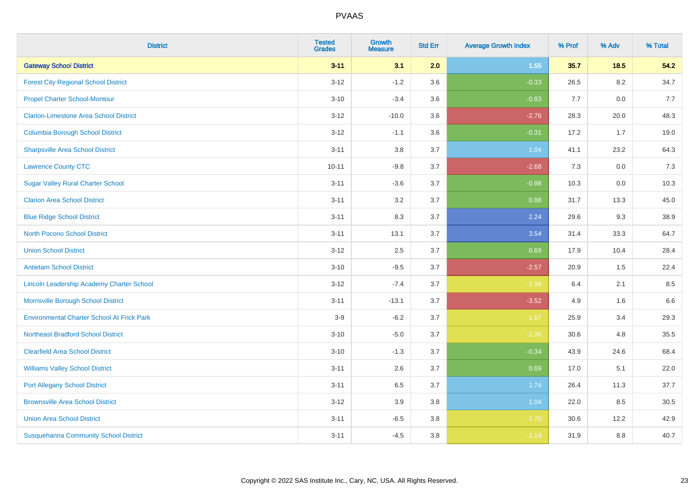| <b>District</b>                                   | <b>Tested</b><br><b>Grades</b> | <b>Growth</b><br><b>Measure</b> | <b>Std Err</b> | <b>Average Growth Index</b> | % Prof | % Adv  | % Total |
|---------------------------------------------------|--------------------------------|---------------------------------|----------------|-----------------------------|--------|--------|---------|
| <b>Gateway School District</b>                    | $3 - 11$                       | 3.1                             | 2.0            | 1.55                        | 35.7   | $18.5$ | 54.2    |
| <b>Forest City Regional School District</b>       | $3 - 12$                       | $-1.2$                          | 3.6            | $-0.33$                     | 26.5   | 8.2    | 34.7    |
| <b>Propel Charter School-Montour</b>              | $3 - 10$                       | $-3.4$                          | 3.6            | $-0.93$                     | 7.7    | 0.0    | 7.7     |
| <b>Clarion-Limestone Area School District</b>     | $3 - 12$                       | $-10.0$                         | 3.6            | $-2.76$                     | 28.3   | 20.0   | 48.3    |
| <b>Columbia Borough School District</b>           | $3 - 12$                       | $-1.1$                          | 3.6            | $-0.31$                     | 17.2   | 1.7    | 19.0    |
| <b>Sharpsville Area School District</b>           | $3 - 11$                       | $3.8\,$                         | 3.7            | 1.04                        | 41.1   | 23.2   | 64.3    |
| <b>Lawrence County CTC</b>                        | $10 - 11$                      | $-9.8$                          | 3.7            | $-2.68$                     | $7.3$  | 0.0    | 7.3     |
| <b>Sugar Valley Rural Charter School</b>          | $3 - 11$                       | $-3.6$                          | 3.7            | $-0.98$                     | 10.3   | 0.0    | 10.3    |
| <b>Clarion Area School District</b>               | $3 - 11$                       | 3.2                             | 3.7            | 0.88                        | 31.7   | 13.3   | 45.0    |
| <b>Blue Ridge School District</b>                 | $3 - 11$                       | $8.3\,$                         | 3.7            | 2.24                        | 29.6   | 9.3    | 38.9    |
| <b>North Pocono School District</b>               | $3 - 11$                       | 13.1                            | 3.7            | 3.54                        | 31.4   | 33.3   | 64.7    |
| <b>Union School District</b>                      | $3 - 12$                       | 2.5                             | 3.7            | 0.69                        | 17.9   | 10.4   | 28.4    |
| <b>Antietam School District</b>                   | $3 - 10$                       | $-9.5$                          | 3.7            | $-2.57$                     | 20.9   | 1.5    | 22.4    |
| Lincoln Leadership Academy Charter School         | $3 - 12$                       | $-7.4$                          | 3.7            | $-1.99$                     | 6.4    | 2.1    | 8.5     |
| Morrisville Borough School District               | $3 - 11$                       | $-13.1$                         | 3.7            | $-3.52$                     | 4.9    | 1.6    | 6.6     |
| <b>Environmental Charter School At Frick Park</b> | $3-9$                          | $-6.2$                          | 3.7            | $-1.67$                     | 25.9   | 3.4    | 29.3    |
| <b>Northeast Bradford School District</b>         | $3 - 10$                       | $-5.0$                          | 3.7            | $-1.35$                     | 30.6   | 4.8    | 35.5    |
| <b>Clearfield Area School District</b>            | $3 - 10$                       | $-1.3$                          | 3.7            | $-0.34$                     | 43.9   | 24.6   | 68.4    |
| <b>Williams Valley School District</b>            | $3 - 11$                       | 2.6                             | 3.7            | 0.69                        | 17.0   | 5.1    | 22.0    |
| <b>Port Allegany School District</b>              | $3 - 11$                       | 6.5                             | 3.7            | 1.74                        | 26.4   | 11.3   | 37.7    |
| <b>Brownsville Area School District</b>           | $3-12$                         | 3.9                             | 3.8            | 1.04                        | 22.0   | 8.5    | 30.5    |
| <b>Union Area School District</b>                 | $3 - 11$                       | $-6.5$                          | 3.8            | $-1.70$                     | 30.6   | 12.2   | 42.9    |
| <b>Susquehanna Community School District</b>      | $3 - 11$                       | $-4.5$                          | 3.8            | $-1.19$                     | 31.9   | 8.8    | 40.7    |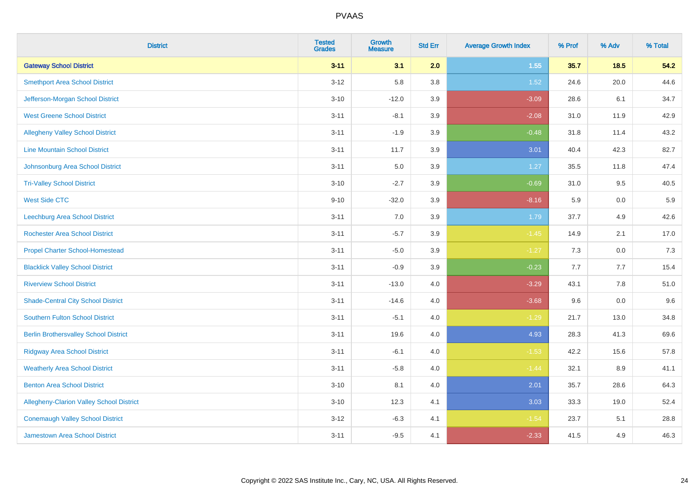| <b>District</b>                                 | <b>Tested</b><br><b>Grades</b> | <b>Growth</b><br><b>Measure</b> | <b>Std Err</b> | <b>Average Growth Index</b> | % Prof  | % Adv | % Total |
|-------------------------------------------------|--------------------------------|---------------------------------|----------------|-----------------------------|---------|-------|---------|
| <b>Gateway School District</b>                  | $3 - 11$                       | 3.1                             | 2.0            | 1.55                        | 35.7    | 18.5  | 54.2    |
| <b>Smethport Area School District</b>           | $3 - 12$                       | 5.8                             | 3.8            | 1.52                        | 24.6    | 20.0  | 44.6    |
| Jefferson-Morgan School District                | $3 - 10$                       | $-12.0$                         | 3.9            | $-3.09$                     | 28.6    | 6.1   | 34.7    |
| <b>West Greene School District</b>              | $3 - 11$                       | $-8.1$                          | 3.9            | $-2.08$                     | 31.0    | 11.9  | 42.9    |
| <b>Allegheny Valley School District</b>         | $3 - 11$                       | $-1.9$                          | 3.9            | $-0.48$                     | 31.8    | 11.4  | 43.2    |
| <b>Line Mountain School District</b>            | $3 - 11$                       | 11.7                            | 3.9            | 3.01                        | 40.4    | 42.3  | 82.7    |
| Johnsonburg Area School District                | $3 - 11$                       | 5.0                             | 3.9            | 1.27                        | 35.5    | 11.8  | 47.4    |
| <b>Tri-Valley School District</b>               | $3 - 10$                       | $-2.7$                          | 3.9            | $-0.69$                     | 31.0    | 9.5   | 40.5    |
| <b>West Side CTC</b>                            | $9 - 10$                       | $-32.0$                         | 3.9            | $-8.16$                     | 5.9     | 0.0   | 5.9     |
| <b>Leechburg Area School District</b>           | $3 - 11$                       | 7.0                             | 3.9            | 1.79                        | 37.7    | 4.9   | 42.6    |
| <b>Rochester Area School District</b>           | $3 - 11$                       | $-5.7$                          | 3.9            | $-1.45$                     | 14.9    | 2.1   | 17.0    |
| <b>Propel Charter School-Homestead</b>          | $3 - 11$                       | $-5.0$                          | 3.9            | $-1.27$                     | 7.3     | 0.0   | 7.3     |
| <b>Blacklick Valley School District</b>         | $3 - 11$                       | $-0.9$                          | 3.9            | $-0.23$                     | $7.7\,$ | 7.7   | 15.4    |
| <b>Riverview School District</b>                | $3 - 11$                       | $-13.0$                         | 4.0            | $-3.29$                     | 43.1    | 7.8   | 51.0    |
| <b>Shade-Central City School District</b>       | $3 - 11$                       | $-14.6$                         | 4.0            | $-3.68$                     | 9.6     | 0.0   | 9.6     |
| <b>Southern Fulton School District</b>          | $3 - 11$                       | $-5.1$                          | $4.0\,$        | $-1.29$                     | 21.7    | 13.0  | 34.8    |
| <b>Berlin Brothersvalley School District</b>    | $3 - 11$                       | 19.6                            | 4.0            | 4.93                        | 28.3    | 41.3  | 69.6    |
| <b>Ridgway Area School District</b>             | $3 - 11$                       | $-6.1$                          | 4.0            | $-1.53$                     | 42.2    | 15.6  | 57.8    |
| <b>Weatherly Area School District</b>           | $3 - 11$                       | $-5.8$                          | $4.0\,$        | $-1.44$                     | 32.1    | 8.9   | 41.1    |
| <b>Benton Area School District</b>              | $3 - 10$                       | 8.1                             | 4.0            | 2.01                        | 35.7    | 28.6  | 64.3    |
| <b>Allegheny-Clarion Valley School District</b> | $3 - 10$                       | 12.3                            | 4.1            | 3.03                        | 33.3    | 19.0  | 52.4    |
| <b>Conemaugh Valley School District</b>         | $3 - 12$                       | $-6.3$                          | 4.1            | $-1.54$                     | 23.7    | 5.1   | 28.8    |
| Jamestown Area School District                  | $3 - 11$                       | $-9.5$                          | 4.1            | $-2.33$                     | 41.5    | 4.9   | 46.3    |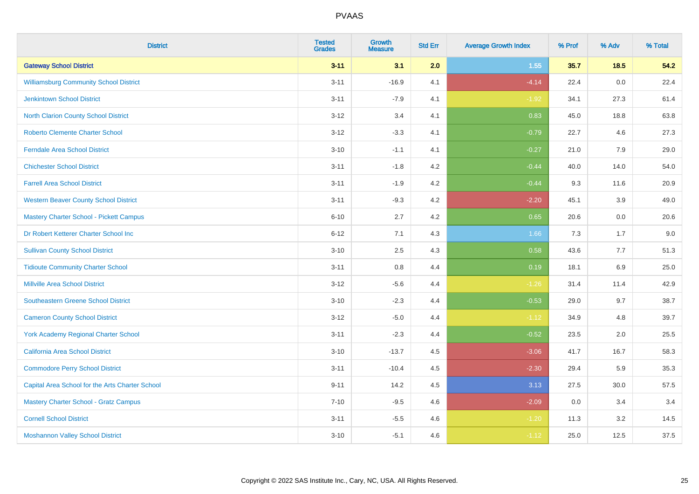| <b>District</b>                                 | <b>Tested</b><br><b>Grades</b> | <b>Growth</b><br><b>Measure</b> | <b>Std Err</b> | <b>Average Growth Index</b> | % Prof | % Adv   | % Total |
|-------------------------------------------------|--------------------------------|---------------------------------|----------------|-----------------------------|--------|---------|---------|
| <b>Gateway School District</b>                  | $3 - 11$                       | 3.1                             | 2.0            | 1.55                        | 35.7   | $18.5$  | 54.2    |
| <b>Williamsburg Community School District</b>   | $3 - 11$                       | $-16.9$                         | 4.1            | $-4.14$                     | 22.4   | 0.0     | 22.4    |
| <b>Jenkintown School District</b>               | $3 - 11$                       | $-7.9$                          | 4.1            | $-1.92$                     | 34.1   | 27.3    | 61.4    |
| North Clarion County School District            | $3 - 12$                       | 3.4                             | 4.1            | 0.83                        | 45.0   | 18.8    | 63.8    |
| <b>Roberto Clemente Charter School</b>          | $3 - 12$                       | $-3.3$                          | 4.1            | $-0.79$                     | 22.7   | 4.6     | 27.3    |
| <b>Ferndale Area School District</b>            | $3 - 10$                       | $-1.1$                          | 4.1            | $-0.27$                     | 21.0   | 7.9     | 29.0    |
| <b>Chichester School District</b>               | $3 - 11$                       | $-1.8$                          | 4.2            | $-0.44$                     | 40.0   | 14.0    | 54.0    |
| <b>Farrell Area School District</b>             | $3 - 11$                       | $-1.9$                          | 4.2            | $-0.44$                     | 9.3    | 11.6    | 20.9    |
| <b>Western Beaver County School District</b>    | $3 - 11$                       | $-9.3$                          | 4.2            | $-2.20$                     | 45.1   | 3.9     | 49.0    |
| Mastery Charter School - Pickett Campus         | $6 - 10$                       | 2.7                             | 4.2            | 0.65                        | 20.6   | 0.0     | 20.6    |
| Dr Robert Ketterer Charter School Inc           | $6 - 12$                       | 7.1                             | 4.3            | 1.66                        | 7.3    | 1.7     | 9.0     |
| <b>Sullivan County School District</b>          | $3 - 10$                       | 2.5                             | 4.3            | 0.58                        | 43.6   | 7.7     | 51.3    |
| <b>Tidioute Community Charter School</b>        | $3 - 11$                       | 0.8                             | 4.4            | 0.19                        | 18.1   | $6.9\,$ | 25.0    |
| <b>Millville Area School District</b>           | $3 - 12$                       | $-5.6$                          | 4.4            | $-1.26$                     | 31.4   | 11.4    | 42.9    |
| <b>Southeastern Greene School District</b>      | $3 - 10$                       | $-2.3$                          | 4.4            | $-0.53$                     | 29.0   | 9.7     | 38.7    |
| <b>Cameron County School District</b>           | $3 - 12$                       | $-5.0$                          | 4.4            | $-1.12$                     | 34.9   | 4.8     | 39.7    |
| York Academy Regional Charter School            | $3 - 11$                       | $-2.3$                          | 4.4            | $-0.52$                     | 23.5   | 2.0     | 25.5    |
| California Area School District                 | $3 - 10$                       | $-13.7$                         | 4.5            | $-3.06$                     | 41.7   | 16.7    | 58.3    |
| <b>Commodore Perry School District</b>          | $3 - 11$                       | $-10.4$                         | 4.5            | $-2.30$                     | 29.4   | 5.9     | 35.3    |
| Capital Area School for the Arts Charter School | $9 - 11$                       | 14.2                            | 4.5            | 3.13                        | 27.5   | 30.0    | 57.5    |
| <b>Mastery Charter School - Gratz Campus</b>    | $7 - 10$                       | $-9.5$                          | 4.6            | $-2.09$                     | 0.0    | 3.4     | 3.4     |
| <b>Cornell School District</b>                  | $3 - 11$                       | $-5.5$                          | 4.6            | $-1.20$                     | 11.3   | 3.2     | 14.5    |
| <b>Moshannon Valley School District</b>         | $3 - 10$                       | $-5.1$                          | 4.6            | $-1.12$                     | 25.0   | 12.5    | 37.5    |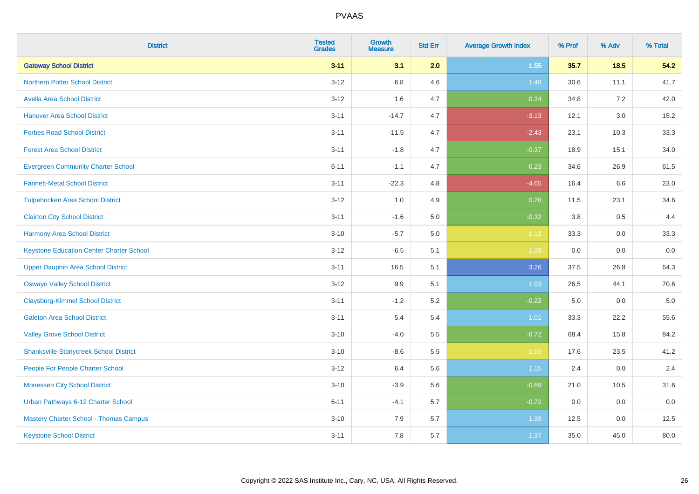| <b>District</b>                                 | <b>Tested</b><br><b>Grades</b> | <b>Growth</b><br><b>Measure</b> | <b>Std Err</b> | <b>Average Growth Index</b> | % Prof | % Adv   | % Total |
|-------------------------------------------------|--------------------------------|---------------------------------|----------------|-----------------------------|--------|---------|---------|
| <b>Gateway School District</b>                  | $3 - 11$                       | 3.1                             | 2.0            | 1.55                        | 35.7   | 18.5    | 54.2    |
| <b>Northern Potter School District</b>          | $3-12$                         | 6.8                             | 4.6            | 1.48                        | 30.6   | 11.1    | 41.7    |
| <b>Avella Area School District</b>              | $3 - 12$                       | 1.6                             | 4.7            | 0.34                        | 34.8   | 7.2     | 42.0    |
| <b>Hanover Area School District</b>             | $3 - 11$                       | $-14.7$                         | 4.7            | $-3.13$                     | 12.1   | $3.0\,$ | 15.2    |
| <b>Forbes Road School District</b>              | $3 - 11$                       | $-11.5$                         | 4.7            | $-2.43$                     | 23.1   | 10.3    | 33.3    |
| <b>Forest Area School District</b>              | $3 - 11$                       | $-1.8$                          | 4.7            | $-0.37$                     | 18.9   | 15.1    | 34.0    |
| <b>Evergreen Community Charter School</b>       | $6 - 11$                       | $-1.1$                          | 4.7            | $-0.23$                     | 34.6   | 26.9    | 61.5    |
| <b>Fannett-Metal School District</b>            | $3 - 11$                       | $-22.3$                         | 4.8            | $-4.65$                     | 16.4   | 6.6     | 23.0    |
| <b>Tulpehocken Area School District</b>         | $3 - 12$                       | 1.0                             | 4.9            | 0.20                        | 11.5   | 23.1    | 34.6    |
| <b>Clairton City School District</b>            | $3 - 11$                       | $-1.6$                          | 5.0            | $-0.32$                     | 3.8    | 0.5     | 4.4     |
| <b>Harmony Area School District</b>             | $3 - 10$                       | $-5.7$                          | 5.0            | $-1.13$                     | 33.3   | 0.0     | 33.3    |
| <b>Keystone Education Center Charter School</b> | $3 - 12$                       | $-6.5$                          | 5.1            | $-1.28$                     | 0.0    | 0.0     | 0.0     |
| <b>Upper Dauphin Area School District</b>       | $3 - 11$                       | 16.5                            | 5.1            | 3.26                        | 37.5   | 26.8    | 64.3    |
| <b>Oswayo Valley School District</b>            | $3 - 12$                       | 9.9                             | 5.1            | 1.93                        | 26.5   | 44.1    | 70.6    |
| <b>Claysburg-Kimmel School District</b>         | $3 - 11$                       | $-1.2$                          | 5.2            | $-0.22$                     | 5.0    | 0.0     | $5.0$   |
| <b>Galeton Area School District</b>             | $3 - 11$                       | 5.4                             | 5.4            | 1.01                        | 33.3   | 22.2    | 55.6    |
| <b>Valley Grove School District</b>             | $3 - 10$                       | $-4.0$                          | 5.5            | $-0.72$                     | 68.4   | 15.8    | 84.2    |
| <b>Shanksville-Stonycreek School District</b>   | $3 - 10$                       | $-8.6$                          | 5.5            | $-1.55$                     | 17.6   | 23.5    | 41.2    |
| People For People Charter School                | $3 - 12$                       | 6.4                             | 5.6            | 1.15                        | 2.4    | 0.0     | 2.4     |
| <b>Monessen City School District</b>            | $3 - 10$                       | $-3.9$                          | 5.6            | $-0.69$                     | 21.0   | 10.5    | 31.6    |
| Urban Pathways 6-12 Charter School              | $6 - 11$                       | $-4.1$                          | 5.7            | $-0.72$                     | 0.0    | 0.0     | 0.0     |
| Mastery Charter School - Thomas Campus          | $3 - 10$                       | 7.9                             | 5.7            | 1.39                        | 12.5   | 0.0     | 12.5    |
| <b>Keystone School District</b>                 | $3 - 11$                       | 7.8                             | 5.7            | 1.37                        | 35.0   | 45.0    | 80.0    |